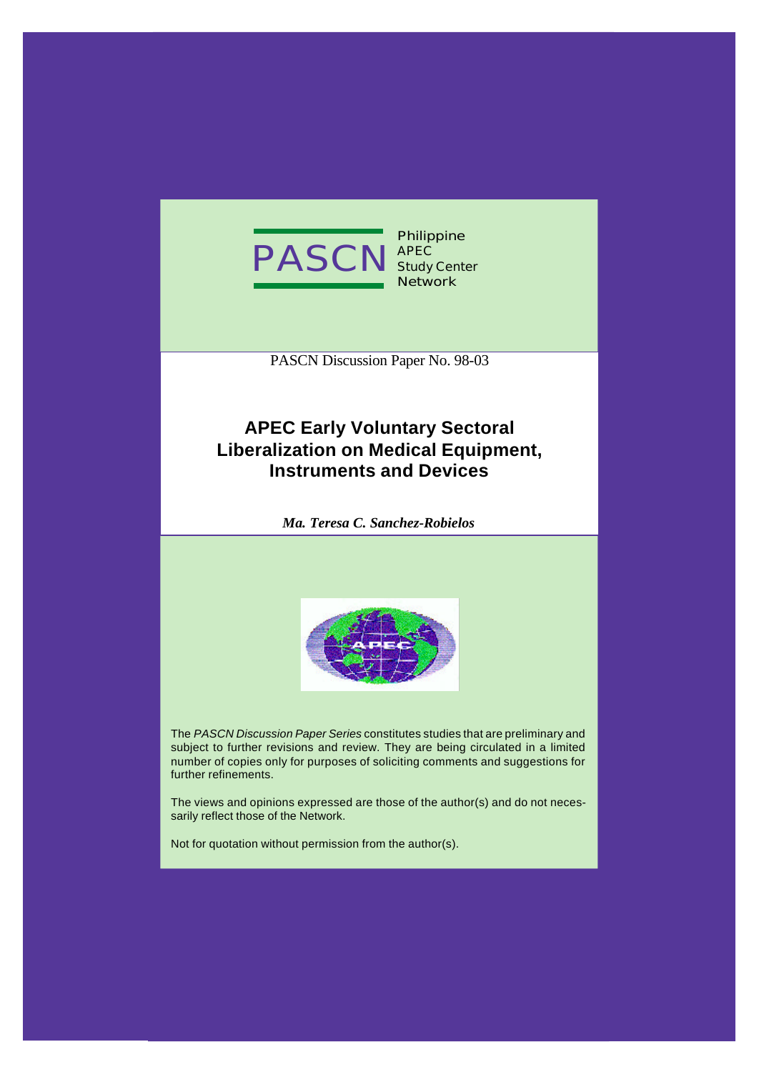

**Philippine APEC Study Center Network**

PASCN Discussion Paper No. 98-03

## **APEC Early Voluntary Sectoral Liberalization on Medical Equipment, Instruments and Devices**

*Ma. Teresa C. Sanchez-Robielos*



The *PASCN Discussion Paper Series* constitutes studies that are preliminary and subject to further revisions and review. They are being circulated in a limited number of copies only for purposes of soliciting comments and suggestions for further refinements.

The views and opinions expressed are those of the author(s) and do not necessarily reflect those of the Network.

Not for quotation without permission from the author(s).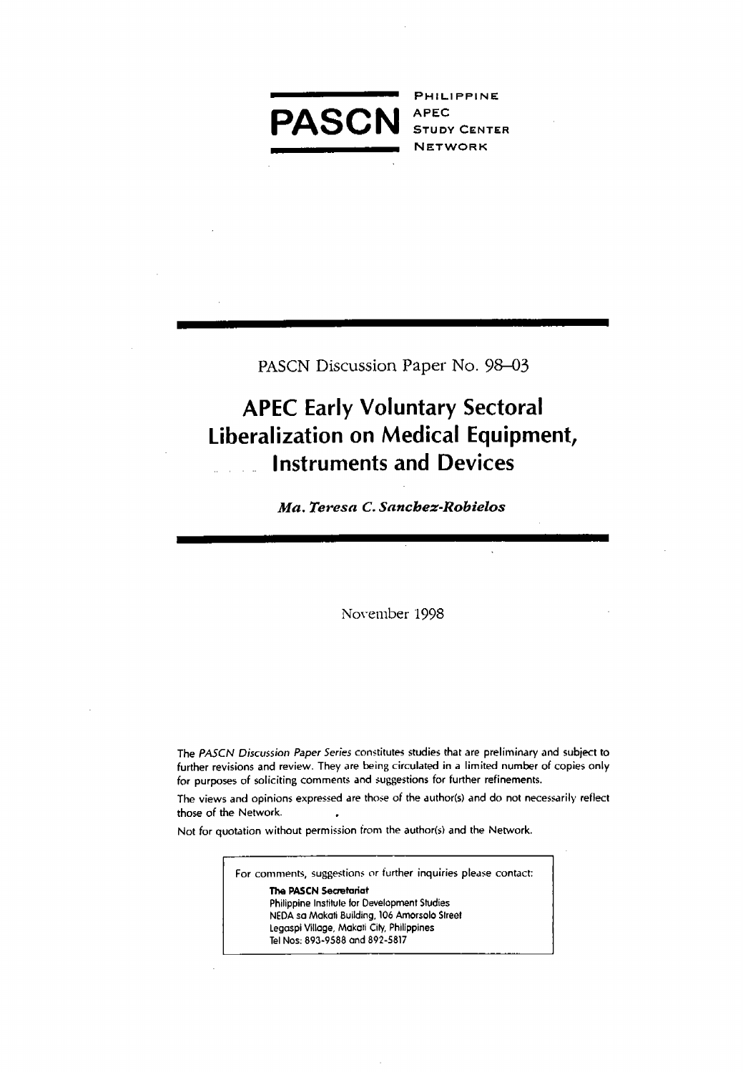

PHILIPPINE **APEC STUDY CENTER NETWORK** 

PASCN Discussion Paper No. 98-03

# **APEC Early Voluntary Sectoral Liberalization on Medical Equipment, Instruments and Devices**

Ma. Teresa C. Sanchez-Robielos

November 1998

The PASCN Discussion Paper Series constitutes studies that are preliminary and subject to further revisions and review. They are being circulated in a limited number of copies only for purposes of soliciting comments and suggestions for further refinements.

The views and opinions expressed are those of the author(s) and do not necessarily reflect those of the Network.

Not for quotation without permission from the author(s) and the Network.

For comments, suggestions or further inquiries please contact:

The PASCN Secretariat Philippine Institute for Development Studies NEDA sa Makati Building, 106 Amorsolo Street Legaspi Village, Makati City, Philippines Tel Nos: 893-9588 and 892-5817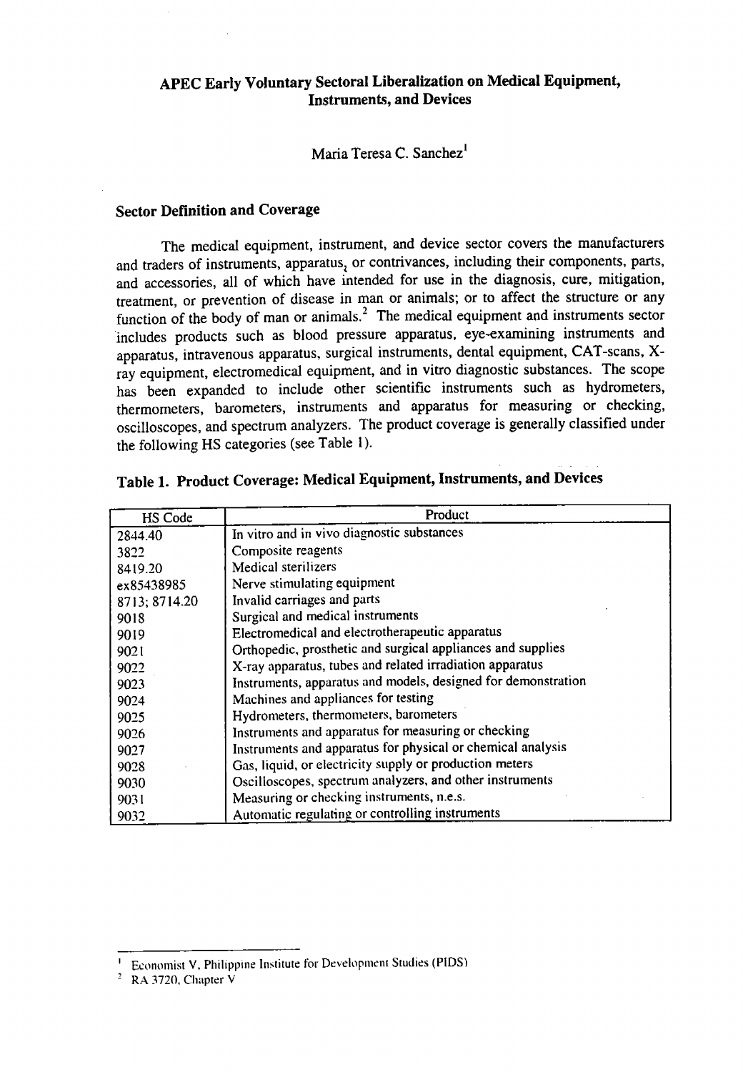### **APEC Early Voluntary Sectoral Liberalization on Medical Equipment, Instruments, and Devices**

Maria Teresa C. Sanchez<sup>1</sup>

#### **Sector Definition and Coverage**

**T**he m**edical equi**p**ment**, **instrument, and device secto**r **covers t**he m**anufac**t**urers and trade**r**s of instruments, appara**t**us**\_ **or contriv**an**ces, including t**h**eir co**m**ponen**ts**, parts, and accesso**r**ie**s, al**l of** wh**ic**h h**ave intend**e**d for us**e **in** th**e diagnosis**, **cure**, **mitigation,** treatment, or prevention of disease in man or animals; or to affect the structure or any f**unction of** th**e** b**ody of** m**an o**r **ani**m**al**s. 2 **T**h**e m**e**dical equipment and instruments sector includes products suc**h **as** b**lood pr**e**ssure app**ar**atus**, **eye-examining instrumen**t**s and ap**p**ara**t**us, int**r**avenous apparatus**, **surgical instruments, dental** e**quipm**e**n**t, **CAT-scans**, **X**ray equipment, electromedical equipment, and in vitro diagnostic substances. The scope h**as** b**e**e**n** e**xpanded** t**o includ**e **ot**h**e**r **scientific instru**me**n**ts **suc**h **a**s h**ydro**meter**s, t**he**r**m**o**mete**rs,** bar**o**m**e**t**e**rs**, in**st**ru**me**n**t**s** an**d appara**t**us** f**or measuring or c**he**cking**, **o**s**cillo**s**co**pe**s**, **and spectrum analyze**r**s**. **T**he **product cove**r**age is g**e**n**er**ally classifi**e**d under t**he f**ollo**w**ing HS catego**r**ies** (**s**ee **Ta**b**le 1**).

| <b>HS Code</b> | Product                                                       |
|----------------|---------------------------------------------------------------|
| 2844.40        | In vitro and in vivo diagnostic substances                    |
| 3822           | Composite reagents                                            |
| 8419.20        | Medical sterilizers                                           |
| ex85438985     | Nerve stimulating equipment                                   |
| 8713; 8714.20  | Invalid carriages and parts                                   |
| 9018           | Surgical and medical instruments                              |
| 9019           | Electromedical and electrotherapeutic apparatus               |
| 9021           | Orthopedic, prosthetic and surgical appliances and supplies   |
| 9022           | X-ray apparatus, tubes and related irradiation apparatus      |
| 9023           | Instruments, apparatus and models, designed for demonstration |
| 9024           | Machines and appliances for testing                           |
| 9025           | Hydrometers, thermometers, barometers                         |
| 9026           | Instruments and apparatus for measuring or checking           |
| 9027           | Instruments and apparatus for physical or chemical analysis   |
| 9028           | Gas, liquid, or electricity supply or production meters       |
| 9030           | Oscilloscopes, spectrum analyzers, and other instruments      |
| 9031           | Measuring or checking instruments, n.e.s.                     |
| 9032           | Automatic regulating or controlling instruments               |

## **Table 1. Product Coverage: Medical Equipment, Instruments, and Devices**

Econo**m**ist V, **P**hilippine Institute for Developm*e*nt Studies(PIDS)

<sup>+-</sup> R*A* 37*2*0*,* Ch**a**pter V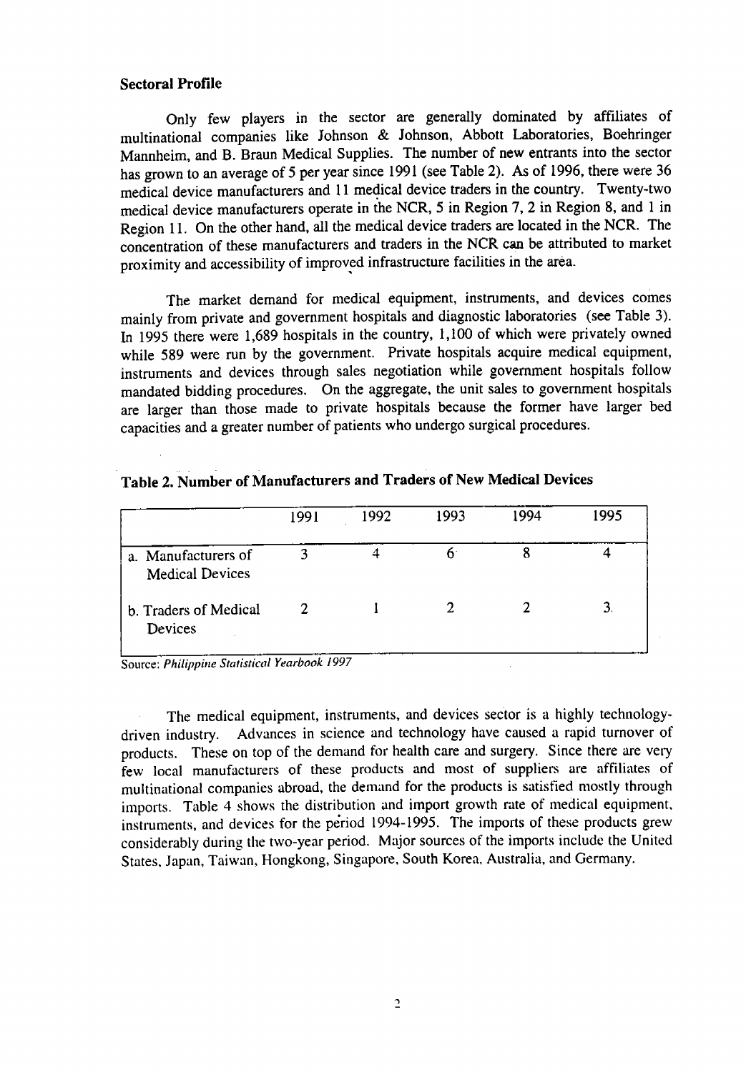#### S**ectoral Profile**

**Only fe**w p**lay**er**s in t**he **sector are g**e**n**e**rally dom**i**na**t**ed** b**y affiliate**s **of** m**ul**t**inational** c**o**m**panies lik**e **Jo**h**n**s**on & Jo**h**nson**, **Abbo**t**t Labora**t**ories**, **Bo**eh**ring**e**r** Mannheim, and B. Braun Medical Supplies. The number of new entrants into the sector has grown to an average of 5 per year since 1991 (see Table 2). As of 1996, there were 36 m**edical device manufa**c**turersand 11 medical devic**e **tradersin** th**e coun**t**ry. Tw**e**nty-**tw**o m**e**dical devi**ce m**anufac**t**urers opera**te **in** the **NC**R, 5 **in** Re**gion 7**, **2 in** R**egion 8**, **and 1 in** R**egion 11**. **On t**he **o**the**r** h**and**, **all** the **medical d**e**vice** t**radersar**e **located in** the **NC**R. **T**h**e** concentration of these manufacturers and traders in the NCR can be attributed to market **proximi**t**y and acce**ss**i**b**ili**t**y o**f **i**mp**roved infras**t**ruc**t**ur**e **facili**t**i**e**s in t**he **area.**

**T**he mark**e**t **d**eman**d for** m**edic**al **equipm**e**n**t, **ins**tr**u**me**nts**, **and d**e**vic**e**s** c**om**es **mainly f**r**om private and gove**r**nment** h**o**s**pi**tal**s and diagnos**tic **labora**t**ories** (**s**ee **Ta**b**le 3**). In 1995 there were 1,689 hospitals in the country, 1,100 of which were privately owned wh**ile** 5**89** w**er**e r**un** b**y** the **gove**rnm**en**t. **Private** h**ospi**t**als acquire m**e**di**c**al equipmen**t, **in**s**tru**m**en**ts **and d***e***vices t**h**roug**h **sal**es **negotia**t**ion** whi**le gov**ernm**en**t h**ospitals follo**w **mandated** b**idding** p**rocedure**s. **On t**h**e aggr**e**ga**t**e**, **t**h**e unit s**al**es** t**o gove**r**nment** h**ospi**t**als** are **large**r **t**h**an t**h**os***e* **made** t**o** p**riva**t**e** h**ospitals because** the **form**er h**ave large**r be**d ca**p**acities and a gr**e**a**t**er num**b**e**r **of** p**a**t**ien**t**s w**h**o undergo surgical procedures**.

|                                               | 1991 | 1992 | 1993 | 1994 | 1995 |
|-----------------------------------------------|------|------|------|------|------|
| a. Manufacturers of<br><b>Medical Devices</b> |      |      |      |      |      |
| b. Traders of Medical<br>Devices              | 2    |      |      |      |      |

|  |  | Table 2. Number of Manufacturers and Traders of New Medical Devices |  |  |
|--|--|---------------------------------------------------------------------|--|--|
|  |  |                                                                     |  |  |

**;**ource: *Philippb*\_*e Statistical Yearbook 1997*

The medical eq**u**ipment, instruments, **a**nd devices sector is a highly technologydriven industry. Advances in science and technology have caused a rapid turnover of products. These on top of the demand for health care and surgery. Since there are very few local m**a**nufacturers of these products and most of suppliers are affiliates of multinational companies abroad, the demand for the products is satisfied mostly through imports. Table 4 shows the distribution and import growth rate of medical equipment*,* instruments, and devices for the period 1994-1995. The imports of these products grew considerably during the two-year period. Major sources of the imports include the United St**a**tes*,* Jap**a**n, T**a**iw**a**n, Hongkong, Sing**a**pore, South Korea, Australia, and Germ**a**ny.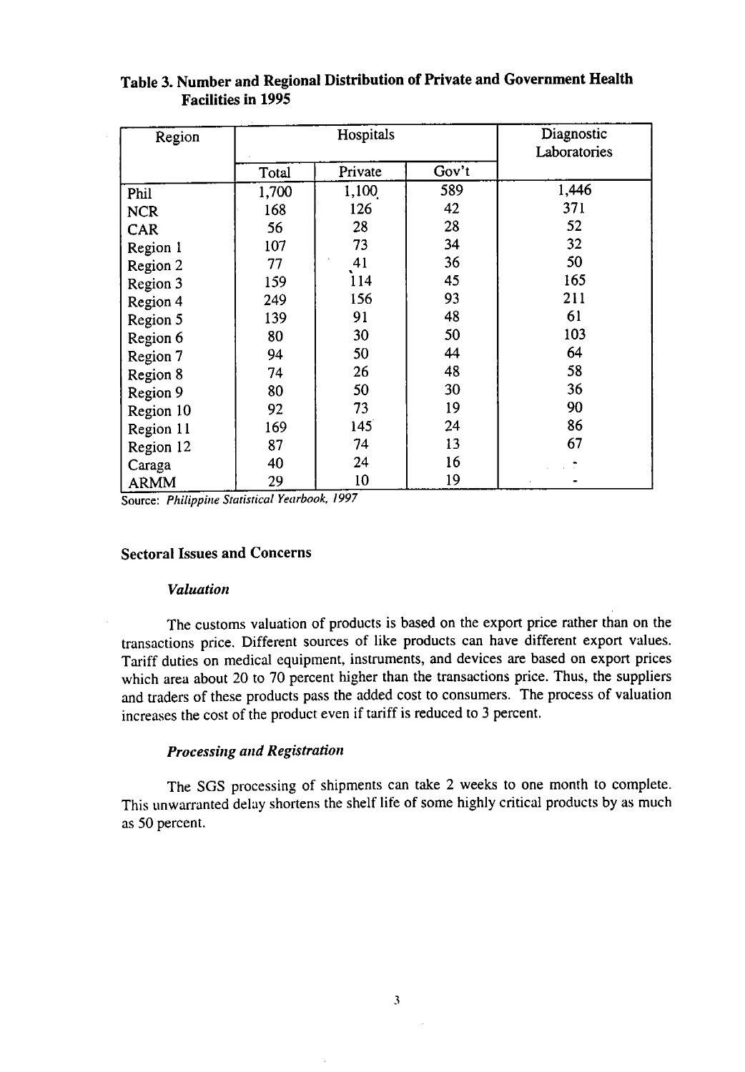| Region      |       | Hospitals |       | Diagnostic<br>Laboratories |
|-------------|-------|-----------|-------|----------------------------|
|             | Total | Private   | Gov't |                            |
| Phil        | 1,700 | 1,100     | 589   | 1,446                      |
| <b>NCR</b>  | 168   | 126       | 42    | 371                        |
| CAR         | 56    | 28        | 28    | 52                         |
| Region 1    | 107   | 73        | 34    | 32                         |
| Region 2    | 77    | 41        | 36    | 50                         |
| Region 3    | 159   | 114       | 45    | 165                        |
| Region 4    | 249   | 156       | 93    | 211                        |
| Region 5    | 139   | 91        | 48    | 61                         |
| Region 6    | 80    | 30        | 50    | 103                        |
| Region 7    | 94    | 50        | 44    | 64                         |
| Region 8    | 74    | 26        | 48    | 58                         |
| Region 9    | 80    | 50        | 30    | 36                         |
| Region 10   | 92    | 73        | 19    | 90                         |
| Region 11   | 169   | 145       | 24    | 86                         |
| Region 12   | 87    | 74        | 13    | 67                         |
| Caraga      | 40    | 24        | 16    |                            |
| <b>ARMM</b> | 29    | 10        | 19    |                            |

## Table 3. Number and Regional Distribution of Private and Government Health **Facilities in 1995**

Source: Philippine Statistical Yearbook, 1997

#### **Sectoral Issues and Concerns**

#### **Valuation**

The customs valuation of products is based on the export price rather than on the transactions price. Different sources of like products can have different export values. Tariff duties on medical equipment, instruments, and devices are based on export prices which area about 20 to 70 percent higher than the transactions price. Thus, the suppliers and traders of these products pass the added cost to consumers. The process of valuation increases the cost of the product even if tariff is reduced to 3 percent.

#### **Processing and Registration**

The SGS processing of shipments can take 2 weeks to one month to complete. This unwarranted delay shortens the shelf life of some highly critical products by as much as 50 percent.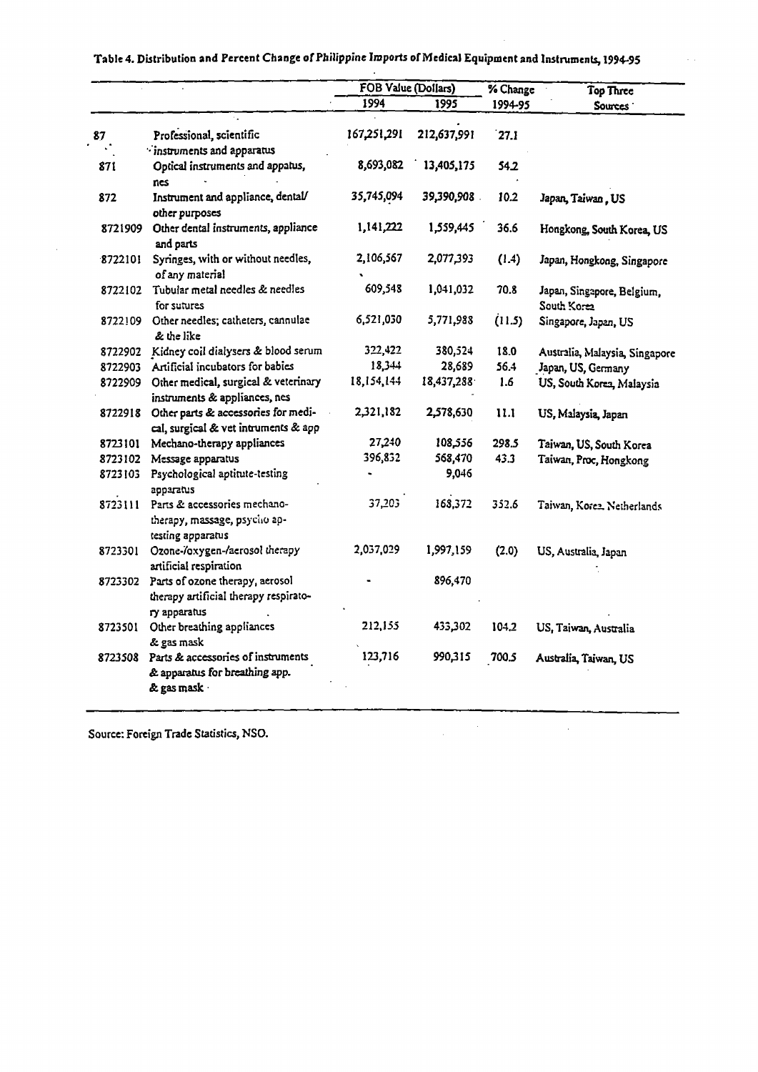## Table 4. Distribution and Percent Change of Philippine Imports of Medical Equipment and Instruments, 1994-95

 $\sim$   $\sim$ 

|         |                                                       | FOB Value (Dollars) |             | % Change | Top Three                                 |  |  |
|---------|-------------------------------------------------------|---------------------|-------------|----------|-------------------------------------------|--|--|
|         |                                                       | 1994                | 1995        | 1994-95  | Sources :                                 |  |  |
| 87      | Professional, scientific                              | 167,251,291         | 212,637,991 | $27.1$   |                                           |  |  |
|         | instruments and apparatus                             |                     |             |          |                                           |  |  |
| 871     | Optical instruments and appatus,                      | 8,693,082           | 13,405,175  | 54.2     |                                           |  |  |
|         | nes                                                   |                     |             |          |                                           |  |  |
| 872     | Instrument and appliance, dental/                     | 35,745,094          | 39,390,908  | 10.2     | Japan, Taiwan, US                         |  |  |
|         | other purposes                                        |                     |             |          |                                           |  |  |
| 8721909 | Other dental instruments, appliance<br>and parts      | 1,141,222           | 1,559,445   | 36.6     | Hongkong, South Korea, US                 |  |  |
| 8722101 | Syringes, with or without needles,                    | 2,106,567           | 2,077,393   | (1.4)    | Japan, Hongkong, Singapore                |  |  |
|         | of any material                                       |                     |             |          |                                           |  |  |
| 8722102 | Tubular metal needles & needles<br>for sutures        | 609,548             | 1,041,032   | 70.8     | Japan, Singapore, Belgium,<br>South Korea |  |  |
| 8722109 | Other needles; catheters, cannulae<br>& the like      | 6,521,030           | 5,771,988   | (11.5)   | Singapore, Japan, US                      |  |  |
| 8722902 | Kidney coil dialysers & blood serum                   | 322,422             | 380,524     | 18.0     | Australia, Malaysia, Singapore            |  |  |
| 8722903 | Artificial incubators for babies                      | 18,344              | 28,689      | 56.4     | Japan, US, Germany                        |  |  |
| 8722909 | Other medical, surgical & veterinary                  | 18,154,144          | 18,437,288  | 1.6      | US, South Korea, Malaysia                 |  |  |
|         | instruments & appliances, nes                         |                     |             |          |                                           |  |  |
| 8722918 | Other parts & accessories for medi-                   | 2,321,182           | 2,578,630   | 11.1     | US, Malaysia, Japan                       |  |  |
|         | cal, surgical & vet intruments & app                  |                     |             |          |                                           |  |  |
| 8723101 | Mechano-therapy appliances                            | 27,240              | 108,556     | 298.5    | Taiwan, US, South Korea                   |  |  |
| 8723102 | Message apparatus                                     | 396,832             | 568,470     | 43.3     | Taiwan, Proc, Hongkong                    |  |  |
| 8723103 | Psychological aptitute-testing                        |                     | 9,046       |          |                                           |  |  |
|         | apparatus                                             |                     |             |          |                                           |  |  |
| 8723111 | Parts & accessories mechano-                          | 37,203              | 168,372     | 352.6    | Taiwan, Korea, Netherlands                |  |  |
|         | therapy, massage, psycho ap-<br>testing apparatus     |                     |             |          |                                           |  |  |
| 8723301 | Ozone-/oxygen-/aerosol therapy                        | 2,037,029           | 1,997,159   | (2.0)    | US, Australia, Japan                      |  |  |
|         | artificial respiration                                |                     |             |          |                                           |  |  |
| 8723302 | Parts of ozone therapy, aerosol                       |                     | 896,470     |          |                                           |  |  |
|         | therapy artificial therapy respirato-<br>ry apparatus |                     |             |          |                                           |  |  |
|         | Other breathing appliances                            | 212,155             | 433,302     | 104.2    |                                           |  |  |
| 8723501 | & gas mask                                            |                     |             |          | US, Taiwan, Australia                     |  |  |
| 8723508 | Parts & accessories of instruments                    | 123,716             | 990,315     | 700.5    |                                           |  |  |
|         | & apparatus for breathing app.                        |                     |             |          | Australia, Taiwan, US                     |  |  |
|         | & gas mask                                            |                     |             |          |                                           |  |  |

 $\mathcal{A}^{\mathcal{A}}$ 

 $\hat{\mathcal{L}}$ 

 $\hat{\mathcal{A}}$ 

Source: Foreign Trade Statistics, NSO.

 $\hat{\boldsymbol{\theta}}$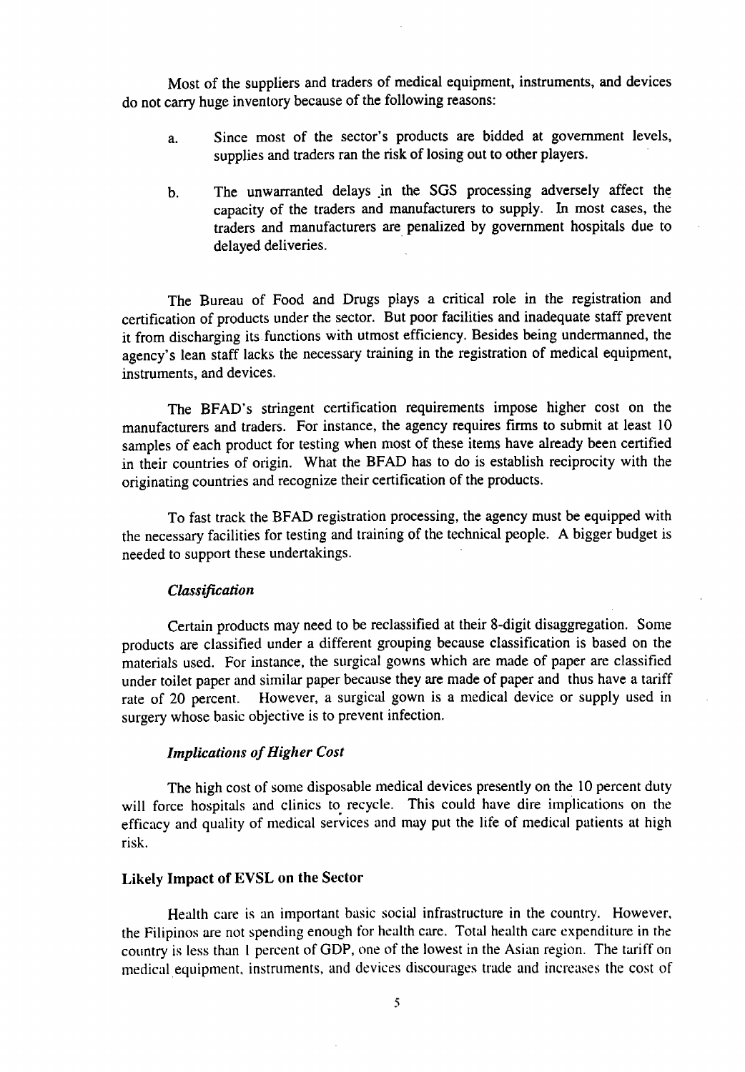Most of the suppliers and traders of medical equipment, instruments, and devices do not carry huge inventory because of the following reasons:

- a. Since most of the sector's products ar**e** bidded at government levels, supplies and traders ran the risk of losing out to other players.
- b. The unwarranted delays in the SGS processing adversely affect the capacity of the traders and manufacturers to supply. In most cases, the traders and manufacturers are penalized by government hospitals due to delayed deliveries.

The Bureau of Food and Drugs plays a critical role in the registration and certification of products under the sector. But poor facilities and inadequate staff prevent it from discharging its functions with utmost efficiency. Besides being undermanned, the agency's lean staff lacks the necessary training in the registration of medical equipment, instruments, and devices.

The BFAD's stringent certification requirements impose higher cost on the manufacturers and traders. For instance, the agency requires firms to submit at least 10 samples of each product for testing when most of these items have already been certified in their countries of origin. What the BFAD has to do is establish reciprocity with the originating countries and recognize their certification of the products.

To fast track the BFAD registration processing, the agency must be equipped with the necessary facilities for testing and training of the technical people. A bigger budget is needed to support these undertakings.

#### *Classification*

Certain products may need to be reclassified at their 8-digit disaggregation. Some products are classified under a different grouping because classification is based on the materials used. For instance, the surgical gowns which are made of paper are classified under toilet paper and similar paper because they are made of paper and thus have a tariff rate of 20 percent. However, a surgical gown is a medical device or supply used in However, a surgical gown is a medical device or supply used in surgery whose basic objective is to prevent infection.

#### *Implications of Higher Cost*

The high cost of some disposable medical devices presently on the 10 percent duty will force hospit**a**ls and clinics to recycle. This could have dire implications on the efficacy and quality of medical services and may put the life of medical patients at high risk.

#### L**ike**l**y I**m**pact of** E**VSL o**n th**e Sect**o**r**

He**a**lth c**a**re is **a**n important b**a**si**c** soci**a**l infr**a**structure in the country. However**,** the Filipinos are not spending enough for health care. Total health care expenditure in the co**u**ntry is less than 1 percent of GDP, one of the lowest in the Asian region. The tariff on medic**a**l equipment, **i**nstruments, **a**nd devices discour**a**ges trade and increases the cost of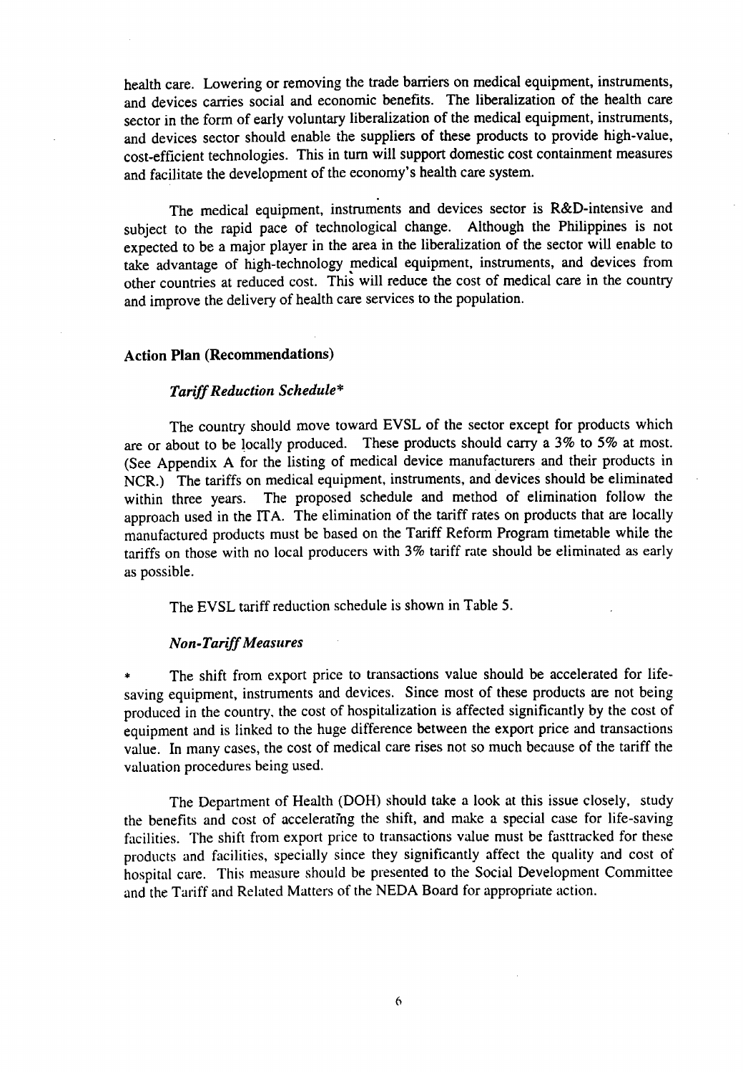health care. Lowering or removing the trade barriers on medical equipment, instruments, and devices carries social and economic benefits. The liberalization of the health care sector in the form of early voluntary liberalization of the medical equipment, instruments, and devices sector should enable the suppliers of these products to provide high-value, cost-efficient technologies. This in turn will support domestic cost containment measures and facilitate the development of the economy's health care system.

The medical equipment, instruments and devices sector is R&D-intensive and subject to the rapid pace of technological change. Although the Philippines is not expected to be a major player in the area in the liberalization of the sector will enable to take advantage of high-technology medical equipment, instruments, and devices from other countries at reduced cost. This will reduce the cost of medical care in the country and improve the delivery of health care services to the population.

#### **Actio**n **Plan** (**Recomm**e**ndations**)

#### *Tariff Reduction Schedule***\***

The c**oun**try sh**ould mov**e t**ow**ar**d** EV**SL of t**he **s**e**cto**r e**xc**ep**t for produc**ts wh**ic**h are or about to be locally produced. These products should carry a 3% to 5% at most. (See Appendix A for the listing of medical device manufacturers and their products in **NC**R.) **T**he t**arif**fs **on m**e**dical** e**quipm**e**n**t, **in**st**rum**e**n**ts, an**d devic**e**s s**h**ould** be e**limina**te**d** w**i**th**in t**hree **y**ears. **T**h**e proposed sc**he**dul**e an**d m**eth**od of** e**limination follo**w the **a**p**p**r**oa**ch **us**e**d in** the **ITA**. **T**he e**limina**t**ion of** the tar**iff ra**te**s on produc**ts th**a**t **a**re **locally** manufactured products must be based on the Tariff Reform Program timetable while the tariffs on those with no local producers with 3% tariff rate should be eliminated as early **as po**ss**ible**.

**T**he **E**V**SL** t**ariff** re**duc**t**ion** sche**dul**e **is s**h**o**w**n in Tab**le 5.

#### *Non***-***Tariff Measures*

The shift from export price to transactions value should be accelerated for lifes**aving** e**qui**p**m**e**n**t, **instrum**ent**s and d**e**vic**e**s**. **Since mo**st **of** the**s**e **products** are **no**t be**ing** produced in the country, the cost of hospitalization is affected significantly by the cost of e**quipm**e**n**t **and is** l**in**ke**d** t**o t**he h**ug**e **diff**e**r**e**nc**e be**tw**ee**n** the e**xpor**t **pri**ce **and** trans**a**ct**ion**s value. In many cases, the cost of medical care rises not so much because of the tariff the **valua**t**ion p**r**oc**e**du**r**e**s be**ing u**s**ed**.

**T**he **D**ep**a**r**tm**e**n**t **of H**e**al**th **(DO**H) **s**h**ould** t**ake a loo**k **a**t **t**h**is issue closely**, **study** the benefits and cost of accelerating the shift, and make a special case for life-saving facilities. The shift from export price to transactions value must be fasttracked for these pr**oduct**s **and facili**t**i**es, **s**pe**cially** s**i**n**c**e the**y significan**t**ly af**fe**ct** the **quali**t**y and co**st **o**f h**o**sp**i**t**al ca**re. Th**i**s **m**e**a**s**u**r**e** sho**u**l**d** be prese**n**te**d** t**o** th**e So**c**ial Developmen**t **Commi**ttee **and** the **Ta**r**if**f **and** Re**la**te**d Mat**ters **of** the **NEDA Board for a**ppr**o**pr**ia**te **a**ct**ion**.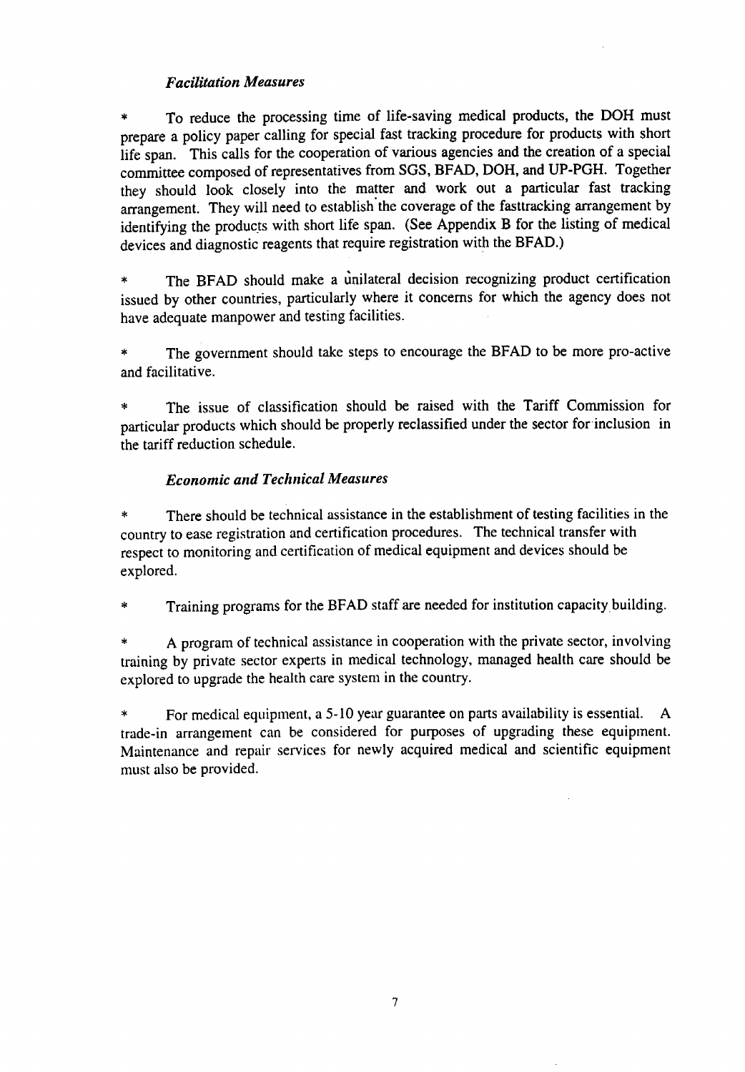## *Facilitation Measures*

\* **T**o reduce the processing ti**m**e of life**-**sav**i**ng medical prod**u**cts, the DOH must prepare a policy paper calling for special fast tracking procedure for products with short life span. This calls for the cooperation of va**r**ious agencies and the creation of a special committee composed of representatives from SGS, BFAD, DOH, and UP-PGH. Together they should look closely into the matter and work out a particular fast tracking arrangement. They will need to establish'the coverage of the fasttracking arrangement by identifying the products with sho*rt* life span. (See Appendix B for the listing of medical devices and diagnostic reagents that require registration with the BFAD.)

The BFAD should make a unilateral decision recognizing product certification issued by other countries, particularly where it concerns for which the agency does not have adequate manpower and testing facilities.

**\*** The government shou**l**d take steps to enco**u**r**a**ge the BF**A**D to be more pro-active and facilitative.

\* The issue of classificatio**n** should be raised with the Tariff Commission for particular products which should be properly reclassified under the sector forinclusion in the tariff reduction schedule.

## *Economic a*n*d Technical Measures*

There should be technical assistance in the establishment of testing facilities in the country to ease registration and certification procedures. The technical transfer with respect to monitoring and certification of medical equipment and devices should be explored.

Training programs for the BFAD staff are needed for institution capacity building.

\* A progr**a**m of technical assistance in cooper**a**tion with the pr**i**vate sector, involving training by private sector experts in medical technology, managed health care should be explored to upgrade the health care system in the country.

**\*** For medic**a**l equipment, a 5-10 year guarantee on parts availability is essential. A trade-in arrangement can be considered for purposes of upgrading these equipment. Maintenance and repair services for newly acquired medical and scientific equipment must also be provided.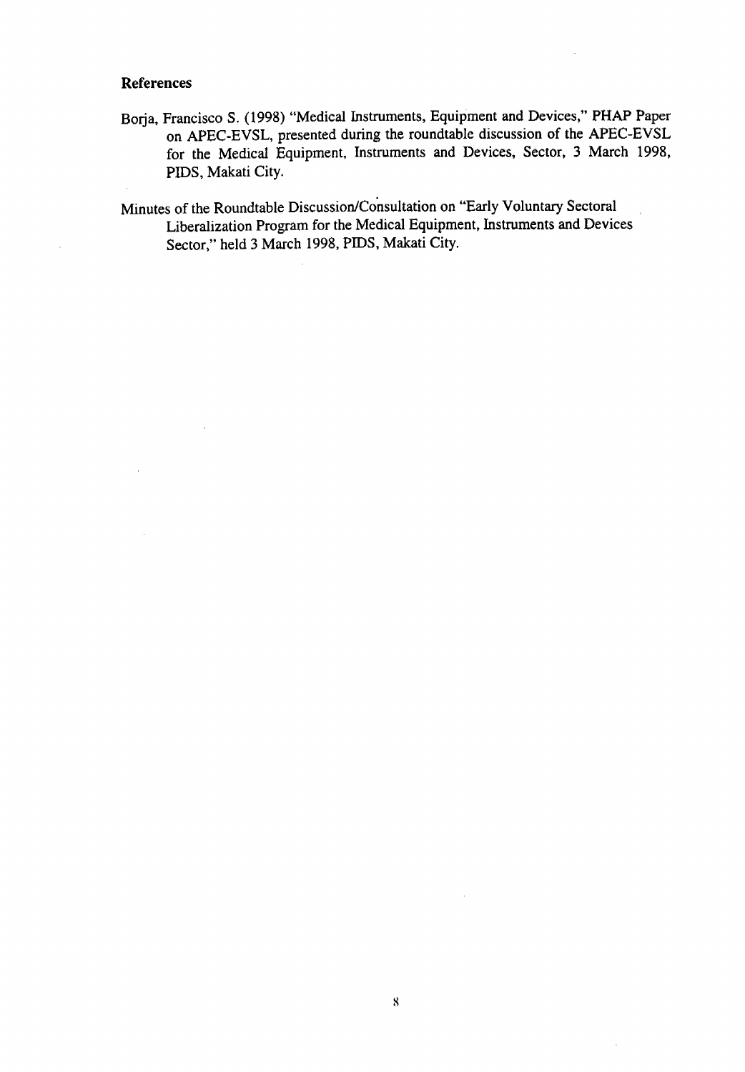#### **Ref**e**re**nces

 $\mathcal{A}$ 

- Borja, Francisco S. (1998) "Medical Instruments, Equipment and **D**evices," **P**HAP Paper on APEC-EVSL, presented during the roundtable discussion of the APEC-EVSL for the Medical Equipment, Instruments and Devices, Sector, 3 March 1998, PIDS, Makati City.
- Minutes of the R**o**undtable Discussion*/*Consultati**o**n on "Early V**o**luntary Sectoral Liberalization Program for the Medical Equipment, Instruments and Devices Sector," held 3 March 1998, PIDS, Makati City.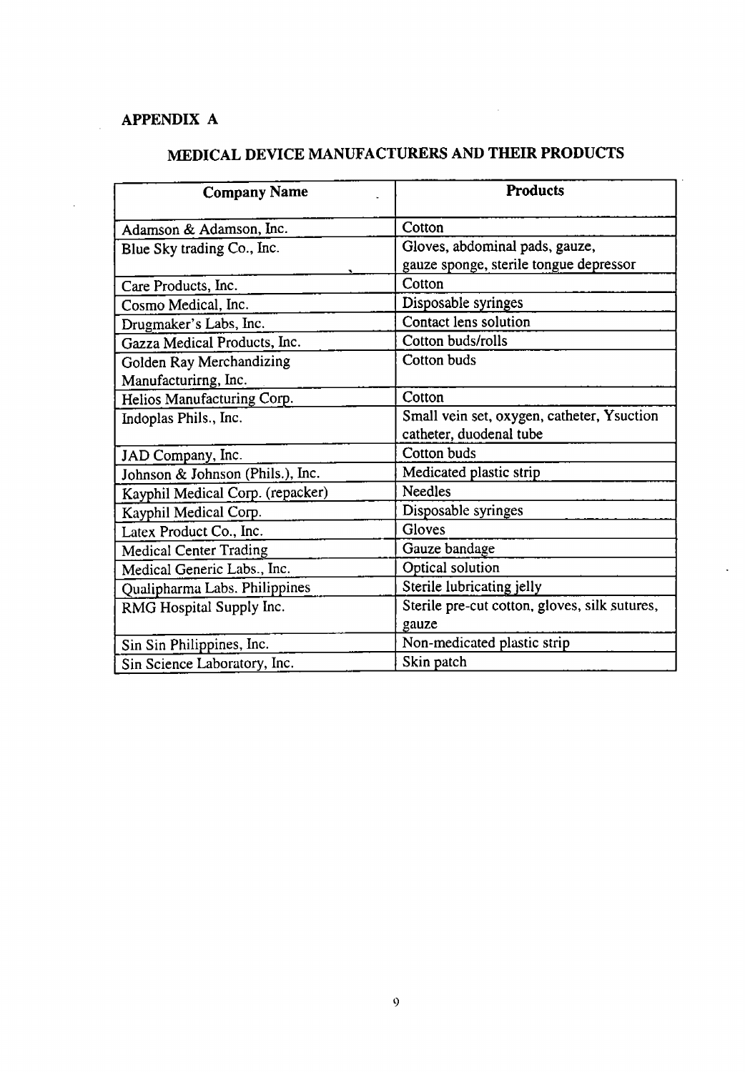## **APPENDIX A**

| <b>Company Name</b>              | <b>Products</b>                                                          |
|----------------------------------|--------------------------------------------------------------------------|
| Adamson & Adamson, Inc.          | Cotton                                                                   |
| Blue Sky trading Co., Inc.       | Gloves, abdominal pads, gauze,<br>gauze sponge, sterile tongue depressor |
| Care Products, Inc.              | Cotton                                                                   |
| Cosmo Medical, Inc.              | Disposable syringes                                                      |
| Drugmaker's Labs, Inc.           | Contact lens solution                                                    |
| Gazza Medical Products, Inc.     | Cotton buds/rolls                                                        |
| Golden Ray Merchandizing         | Cotton buds                                                              |
| Manufacturirng, Inc.             |                                                                          |
| Helios Manufacturing Corp.       | Cotton                                                                   |
| Indoplas Phils., Inc.            | Small vein set, oxygen, catheter, Ysuction<br>catheter, duodenal tube    |
| JAD Company, Inc.                | Cotton buds                                                              |
| Johnson & Johnson (Phils.), Inc. | Medicated plastic strip                                                  |
| Kayphil Medical Corp. (repacker) | <b>Needles</b>                                                           |
| Kayphil Medical Corp.            | Disposable syringes                                                      |
| Latex Product Co., Inc.          | Gloves                                                                   |
| <b>Medical Center Trading</b>    | Gauze bandage                                                            |
| Medical Generic Labs., Inc.      | Optical solution                                                         |
| Qualipharma Labs. Philippines    | Sterile lubricating jelly                                                |
| RMG Hospital Supply Inc.         | Sterile pre-cut cotton, gloves, silk sutures,<br>gauze                   |
| Sin Sin Philippines, Inc.        | Non-medicated plastic strip                                              |
| Sin Science Laboratory, Inc.     | Skin patch                                                               |

## **MEDICAL DEVICE MANUFACTURERS AND THEIR PRODUCTS**

 $\mathcal{L}^{\text{max}}_{\text{max}}$ 

 $\ddot{\phantom{a}}$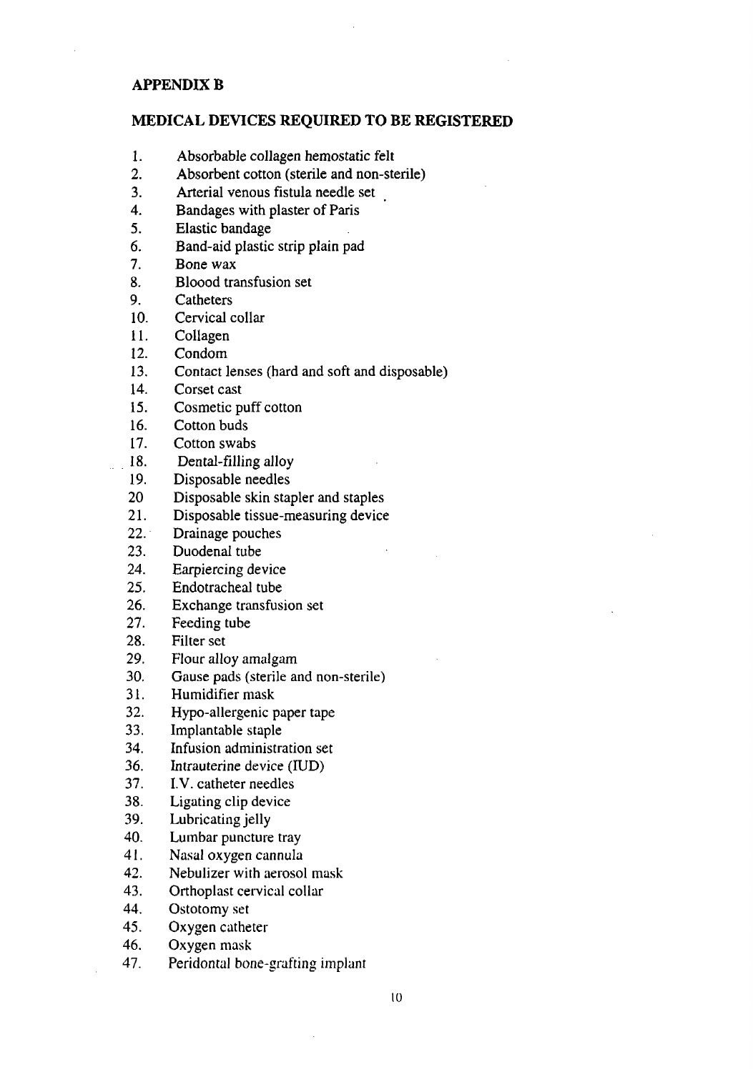#### **APPENDIX B**

#### **MEDICAL DEVICES REQUIRED TO BE** RE**GISTE**RE**D**

- 1. Absorbable collagen hemostatic felt<br>2. Absorbent cotton (sterile and non-ste
- Absorbent cotton (sterile and non-sterile)
- 3. Arterial venous fistula needle set
- 4. Bandages with plaster of Paris<br>5. Elastic bandage
- 5. Elastic bandage<br>6. Band-aid plastic
- 6. Band-aid plastic strip plain pad
- Bone wax
- 8. Bloood transfusion set
- 9. Catheters
- 10. Cervical collar
- 11. Collagen<br>12. Condom
- 12. Condom
- 13. Contact lenses (hard and soft and disposable) 14. Corset cast
- Corset cast
- 15. Cosmetic puff cotton
- 16. Cotton buds
- 17. Cotton swabs
- 18. Dental-filling alloy<br>19. Disposable needles
- 19. Disposable needles<br>20 Disposable skin star
- 20 Disposable skin stapler and staples<br>21. Disposable tissue-measuring device
- 21. Disposable tissue-measuring device<br>22. Drainage pouches
- 22. Drainage pouches<br>23. Duodenal tube
- Duodenal tube
- 24. Earpiercing device<br>25. Endotracheal tube
- Endotracheal tube
- 26. Exchange transfusion set<br>27. Feeding tube
- 27. Feeding tube<br>28. Filter set
- Filter set
- 29. Flour alloy amalgam<br>30. Gause pads (sterile are
- 30. Gause pads (sterile and non-sterile)<br>31. Humidifier mask
- Humidifier mask
- 32. Hypo-allergenic paper tape<br>33. Implantable staple
- 33. Implantable staple<br>34. Infusion administra
- Infusion administration set
- 36. Intrauterine device (IUD)<br>37. I.V. catheter needles
- I.V. catheter needles
- 38. Ligating clip device<br>39. Lubricating ielly
- 39. Lubricating jelly<br>40. Lumbar puncture
- 40. Lumbar puncture tray<br>41. Nasal oxvgen cannula
- 41. Nasal oxygen cannula<br>42. Nebulizer with aeroso
- Nebulizer with aerosol mask
- 43. Orthoplast cervical collar<br>44. Ostotomy set
- 44. Ostotomy set<br>45. Oxygen cathe
- 45. Oxygen catheter<br>46. Oxygen mask
- 46. Oxygen mask<br>47. Peridontal bor
- 47. Peridontal bone-grafting implan**t**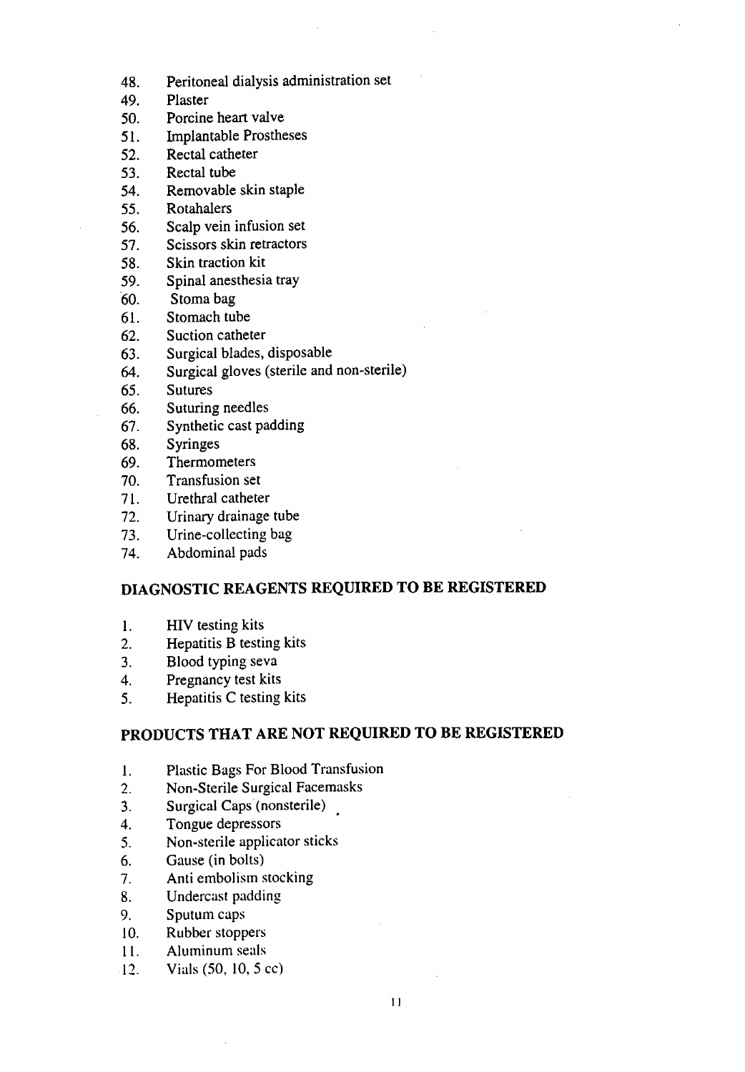- 48. Peritoneal dialysis administration set<br>49. Plaster
- 49. Plaster<br>50. Porcine
- Porcine heart valve
- 51. Implantable Prostheses<br>52. Rectal catheter
- Rectal catheter
- 53. Rectal tube
- 54. Removable skin staple<br>55. Rotahalers
- 55. Rotahalers
- 56. Scalp vein infusion set<br>57. Scissors skin retractors
- Scissors skin retractors
- 58. Skin traction kit
- 59. Spinal anesthesia tray<br>60. Stoma bag
- 60. Stoma bag<br>61. Stomach tul
- Stomach tube
- 62. Suction catheter
- 63. Surgical blades, disposable<br>64. Surgical gloves (sterile and
- 64. Surgical gloves (sterile and non-sterile)<br>65. Sutures
- **Sutures**
- 
- 66. Suturing needles<br>67. Synthetic cast pa 67. Synthetic cast padding
- 
- 68. Syri*n*ges **Thermometers**
- 70. *T*ransfusion set
- 
- 71. Urethral catheter<br>72. Urinary drainage 72. Urinary drainage tube<br>73. Urine-collecting bag
- 73. Urine-collecting bag<br>74. Abdominal pads
- Abdominal pads

#### DIAGNOSTIC REAGENTS REQUIRED TO BE REGISTERED

- 1. HIV testing kits<br>2. Hepatitis B testi
- 2. Hepatitis B testing kits<br>3. Blood typing seva
- 3. Blood typing seva<br>4. Pregnancy test kits
- 4. Pregnancy test kits<br>5. Hepatitis C testing
- Hepatitis C testing kits

## PRO*D*UCTS TH*A*T *A*RE NOT REQUIRE*D* TO BE REGISTERED

- 1. Plastic Bags For Blood Transfusion<br>2. Non-Sterile Surgical Facemasks
- 2. Non-Sterile Surgical Facemasks<br>3. Surgical Caps (nonsterile)
- 3. Surgical Caps (nonsterile)<br>4. Tongue depressors
- 4. **Tongue depressors**<br>5. **Non-sterile applica**
- 5. Non-sterile applicator sticks<br>6. Gause (in bolts)
- 6. Gause (in bolts)<br>7. Anti embolism s
- 7. Anti embolism stocking<br>8. Undercast padding
- 8. Undercast padding<br>9. Sputum caps
- 9. Spu*t*um caps
- 10. Rubber stoppers<br>11. Aluminum seals
- Aluminum seals
- 12. Vials (50, 10, 5 cc)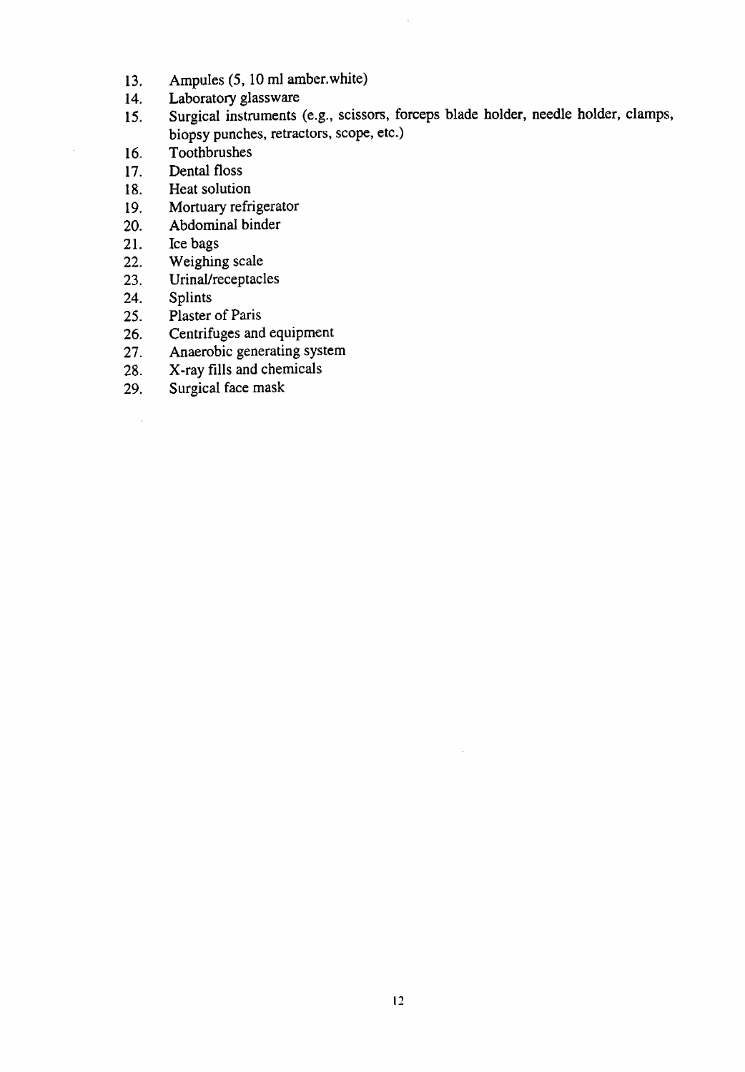- 13. Ampules (5, 10 ml amber.white)<br>14. Laboratory glassware
- 
- 15. Surgical instruments (e.g., scissors, forceps blade holder, needle holder, clamps, 15. Surgical instruments (e.g., science  $f(x)$ ,  $f(x)$ ,  $f(x)$ ,  $f(x)$ ,  $f(x)$ ,  $f(x)$ ,  $f(x)$ ,  $f(x)$ ,  $f(x)$ ,  $f(x)$ ,  $f(x)$ ,  $f(x)$ ,  $f(x)$ ,  $f(x)$ ,  $f(x)$ ,  $f(x)$ ,  $f(x)$ ,  $f(x)$ ,  $f(x)$ ,  $f(x)$ ,  $f(x)$ ,  $f(x)$ ,  $f(x)$ ,  $f(x)$ ,  $f(x)$ ,  $f(x)$ , biopsy punches, retractors, scope, etc.)

 $\hat{\boldsymbol{\beta}}$ 

- 16. Toothbrushes<br>17. Dental floss
- 17. Dental floss<br>18. Heat solution
- Heat solution
- 19. Mortuary refrigerator<br>20. Abdominal binder
- 20. *A*bdominal binder
- 21. Ice bags<br>22. Weighin
- 
- 22. Weighing scale<br>23. Urinal/receptacl 23. Urinal*/*receptacles
- 24. Splints<br>25. Plaster

 $\mathcal{A}^{\prime}$ 

- Plaster of Paris
- 
- 26. Centrifuges and equipment<br>27. Anaerobic generating syster 27. Anaerobic generating system<br>28. X-ray fills and chemicals
- 28. X-ray fills and chemicals<br>29. Surgical face mask
- Surgical face mask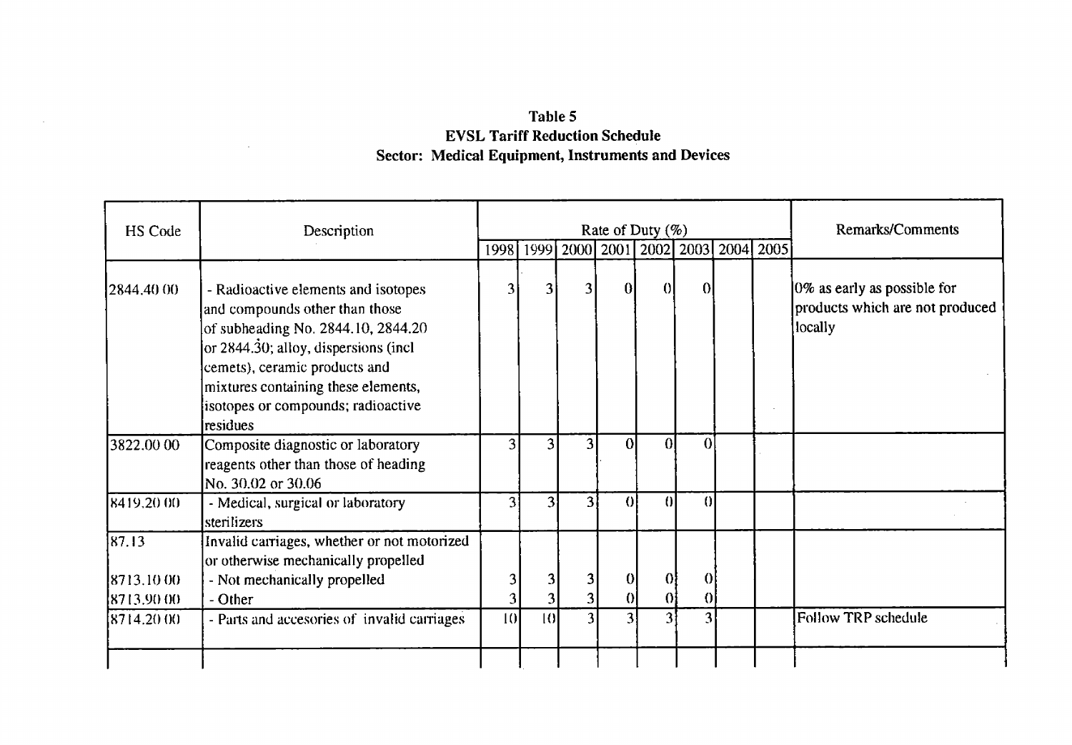## Table 5 **EVSL Tariff Reduction Schedule** Sector: Medical Equipment, Instruments and Devices

| HS Code     | Description                                                                                                                                                                                                                                                                      |                 |                 |   |          | Rate of Duty (%)                        |                 |  | Remarks/Comments                                                          |
|-------------|----------------------------------------------------------------------------------------------------------------------------------------------------------------------------------------------------------------------------------------------------------------------------------|-----------------|-----------------|---|----------|-----------------------------------------|-----------------|--|---------------------------------------------------------------------------|
|             |                                                                                                                                                                                                                                                                                  | 1998            | 1999            |   |          | 2000   2001   2002   2003   2004   2005 |                 |  |                                                                           |
| 2844.40.00  | - Radioactive elements and isotopes<br>and compounds other than those<br>of subheading No. 2844.10, 2844.20<br>or $2844.30$ ; alloy, dispersions (incl<br>cemets), ceramic products and<br>mixtures containing these elements,<br>isotopes or compounds; radioactive<br>residues |                 |                 |   | 0        | $\vert$                                 | 0               |  | 0% as early as possible for<br>products which are not produced<br>locally |
| 3822.00 00  | Composite diagnostic or laboratory<br>reagents other than those of heading<br>No. 30.02 or 30.06                                                                                                                                                                                 |                 | ٩               | ٩ | 0        | U                                       | $\Omega$        |  |                                                                           |
| 8419,20.00  | - Medical, surgical or laboratory<br>sterilizers                                                                                                                                                                                                                                 |                 | ٩               | 3 | 0        |                                         | 0               |  |                                                                           |
| 87.13       | Invalid carriages, whether or not motorized<br>or otherwise mechanically propelled                                                                                                                                                                                               |                 |                 |   |          |                                         |                 |  |                                                                           |
| 8713.10.00  | - Not mechanically propelled                                                                                                                                                                                                                                                     |                 |                 | 3 | $\bf{0}$ | $\Omega$                                | 0               |  |                                                                           |
| 8713.90.00. | - Other                                                                                                                                                                                                                                                                          |                 |                 | 3 | $\theta$ |                                         | $\vert 0 \vert$ |  |                                                                           |
| 8714.20100  | - Parts and accesories of invalid carriages                                                                                                                                                                                                                                      | 10 <sup>1</sup> | $\overline{10}$ | 3 |          | 3                                       | 3               |  | Follow TRP schedule                                                       |
|             |                                                                                                                                                                                                                                                                                  |                 |                 |   |          |                                         |                 |  |                                                                           |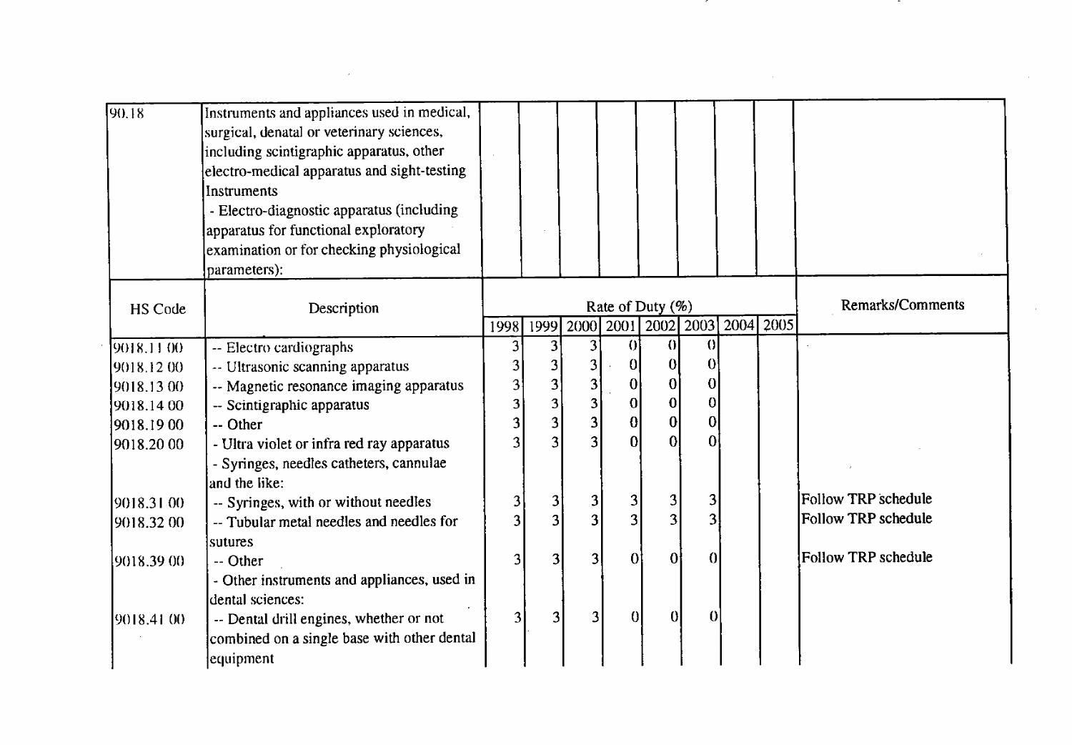| 90.18      | Instruments and appliances used in medical,<br>surgical, denatal or veterinary sciences,<br>including scintigraphic apparatus, other<br>electro-medical apparatus and sight-testing<br><b>Instruments</b><br>- Electro-diagnostic apparatus (including<br>apparatus for functional exploratory<br>examination or for checking physiological<br>parameters): |                         |                         |                         |                  |                  |                                    |  |                     |
|------------|-------------------------------------------------------------------------------------------------------------------------------------------------------------------------------------------------------------------------------------------------------------------------------------------------------------------------------------------------------------|-------------------------|-------------------------|-------------------------|------------------|------------------|------------------------------------|--|---------------------|
| HS Code    | Description                                                                                                                                                                                                                                                                                                                                                 |                         |                         |                         | Rate of Duty (%) |                  |                                    |  | Remarks/Comments    |
|            |                                                                                                                                                                                                                                                                                                                                                             | 1998                    |                         |                         |                  |                  | 1999 2000 2001 2002 2003 2004 2005 |  |                     |
| 9018.11.00 | -- Electro cardiographs                                                                                                                                                                                                                                                                                                                                     | 3                       | 3                       |                         | $\theta$         | 0                | 0                                  |  |                     |
| 9018.12.00 | -- Ultrasonic scanning apparatus                                                                                                                                                                                                                                                                                                                            | 3                       | 3                       |                         | 0                | 0                | $\bf{0}$                           |  |                     |
| 9018.13.00 | -- Magnetic resonance imaging apparatus                                                                                                                                                                                                                                                                                                                     | 3 <sup>1</sup>          | 3 <sup>1</sup>          |                         | 0                | $\boldsymbol{0}$ | 0                                  |  |                     |
| 9018.14 00 | -- Scintigraphic apparatus                                                                                                                                                                                                                                                                                                                                  | $\overline{\mathbf{3}}$ | $\overline{\mathbf{3}}$ |                         | 0                | 0                | 0                                  |  |                     |
| 9018.1900  | -- Other                                                                                                                                                                                                                                                                                                                                                    | 3                       | $\overline{\mathbf{3}}$ | 3                       | 0                | 0                | $\bf{0}$                           |  |                     |
| 9018.2000  | - Ultra violet or infra red ray apparatus                                                                                                                                                                                                                                                                                                                   | 3                       | <sup>3</sup>            |                         | ΩI               | $\Omega$         | $\Omega$                           |  |                     |
|            | - Syringes, needles catheters, cannulae                                                                                                                                                                                                                                                                                                                     |                         |                         |                         |                  |                  |                                    |  |                     |
|            | and the like:                                                                                                                                                                                                                                                                                                                                               |                         |                         |                         |                  |                  |                                    |  |                     |
| 9018.31 00 | -- Syringes, with or without needles                                                                                                                                                                                                                                                                                                                        | $\overline{\mathbf{3}}$ | $3^{\circ}$             | $\overline{\mathbf{3}}$ | $\mathbf{3}$     | $\vert 3 \vert$  | 3                                  |  | Follow TRP schedule |
| 9018.32 00 | -- Tubular metal needles and needles for                                                                                                                                                                                                                                                                                                                    | 3 <sup>1</sup>          | 3                       |                         | $\overline{3}$   | $\overline{3}$   | $\overline{3}$                     |  | Follow TRP schedule |
|            | sutures                                                                                                                                                                                                                                                                                                                                                     |                         |                         |                         |                  |                  |                                    |  |                     |
| 9018.39 00 | -- Other                                                                                                                                                                                                                                                                                                                                                    | 3 <sup>1</sup>          | 3                       | 3                       | $\overline{0}$   | $\theta$         | $\Omega$                           |  | Follow TRP schedule |
|            | - Other instruments and appliances, used in                                                                                                                                                                                                                                                                                                                 |                         |                         |                         |                  |                  |                                    |  |                     |
|            | dental sciences:                                                                                                                                                                                                                                                                                                                                            |                         |                         |                         |                  |                  |                                    |  |                     |
| 9018.41.00 | -- Dental drill engines, whether or not                                                                                                                                                                                                                                                                                                                     | 3                       | 31                      | 3 <sup>1</sup>          | $\vert 0 \vert$  | $\vert 0 \vert$  | $\theta$                           |  |                     |
|            | combined on a single base with other dental                                                                                                                                                                                                                                                                                                                 |                         |                         |                         |                  |                  |                                    |  |                     |
|            | equipment                                                                                                                                                                                                                                                                                                                                                   |                         |                         |                         |                  |                  |                                    |  |                     |

 $\mathcal{L}(\mathcal{L}(\mathcal{L}(\mathcal{L}(\mathcal{L}(\mathcal{L}(\mathcal{L}(\mathcal{L}(\mathcal{L}(\mathcal{L}(\mathcal{L}(\mathcal{L}(\mathcal{L}(\mathcal{L}(\mathcal{L}(\mathcal{L}(\mathcal{L}(\mathcal{L}(\mathcal{L}(\mathcal{L}(\mathcal{L}(\mathcal{L}(\mathcal{L}(\mathcal{L}(\mathcal{L}(\mathcal{L}(\mathcal{L}(\mathcal{L}(\mathcal{L}(\mathcal{L}(\mathcal{L}(\mathcal{L}(\mathcal{L}(\mathcal{L}(\mathcal{L}(\mathcal{L}(\mathcal{$ 

 $\mathcal{L}(\mathcal{L}(\mathcal{L}))$  and  $\mathcal{L}(\mathcal{L}(\mathcal{L}))$  . The contribution of the contribution of

 $\sim 10^{-1}$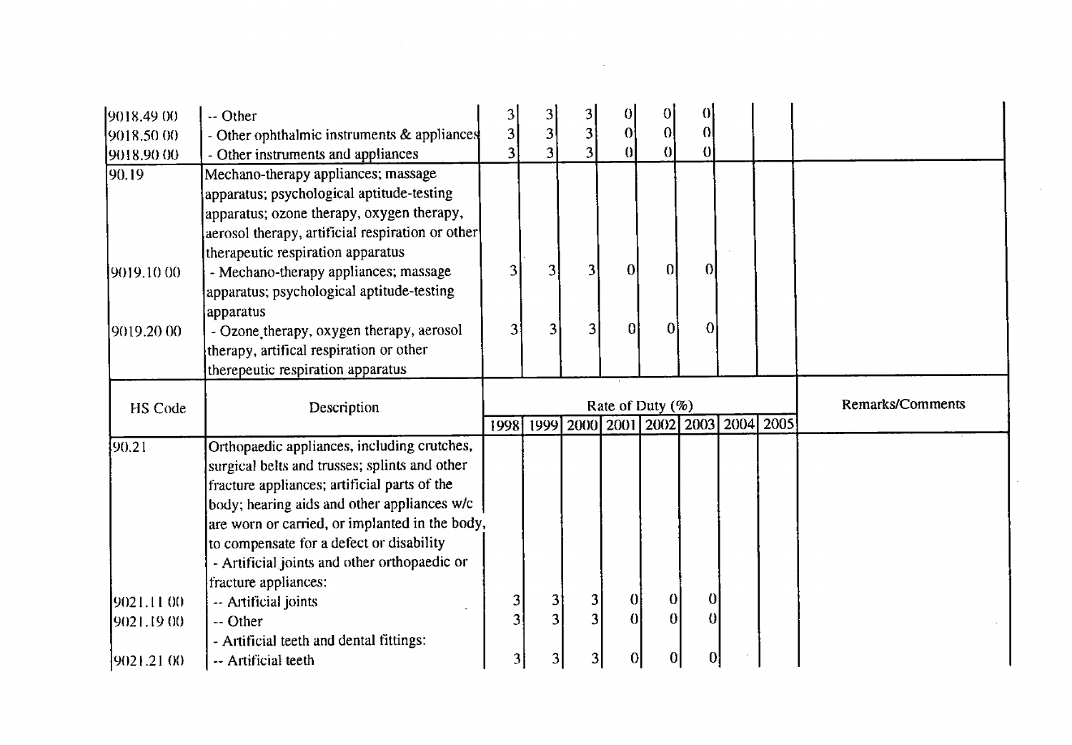| 9018.49 00  | -- Other                                         | 3           | 3              | 3              | o                | 01               | 0               |                                    |                  |
|-------------|--------------------------------------------------|-------------|----------------|----------------|------------------|------------------|-----------------|------------------------------------|------------------|
| 9018.50.00  | - Other ophthalmic instruments $\&$ appliances   | 3           | 3              | $3^{\circ}$    | $\boldsymbol{0}$ | $\overline{0}$   | $\vert$ 0       |                                    |                  |
| 9018.90.00  | - Other instruments and appliances               |             | 3 <sup>1</sup> |                | $\bf{0}$         | $\overline{0}$   | $\vert 0 \vert$ |                                    |                  |
| 90.19       | Mechano-therapy appliances; massage              |             |                |                |                  |                  |                 |                                    |                  |
|             | apparatus; psychological aptitude-testing        |             |                |                |                  |                  |                 |                                    |                  |
|             | apparatus; ozone therapy, oxygen therapy,        |             |                |                |                  |                  |                 |                                    |                  |
|             | aerosol therapy, artificial respiration or other |             |                |                |                  |                  |                 |                                    |                  |
|             | therapeutic respiration apparatus                |             |                |                |                  |                  |                 |                                    |                  |
| 9019.10.00  | - Mechano-therapy appliances; massage            | 3           | 3              | 3              | Ωl               | $\Omega$         | $\overline{0}$  |                                    |                  |
|             | apparatus; psychological aptitude-testing        |             |                |                |                  |                  |                 |                                    |                  |
|             | apparatus                                        |             |                |                |                  |                  |                 |                                    |                  |
| 9019.20.00  | - Ozone therapy, oxygen therapy, aerosol         | $3^{\circ}$ | 3              | $\overline{3}$ | $\Omega$         | $\overline{0}$   | $\overline{0}$  |                                    |                  |
|             | therapy, artifical respiration or other          |             |                |                |                  |                  |                 |                                    |                  |
|             | therepeutic respiration apparatus                |             |                |                |                  |                  |                 |                                    |                  |
|             |                                                  |             |                |                |                  | Rate of Duty (%) |                 |                                    | Remarks/Comments |
| HS Code     | Description                                      |             |                |                |                  |                  |                 | 1999 2000 2001 2002 2003 2004 2005 |                  |
|             |                                                  |             |                |                |                  |                  |                 |                                    |                  |
|             |                                                  | 1998        |                |                |                  |                  |                 |                                    |                  |
| 90.21       | Orthopaedic appliances, including crutches,      |             |                |                |                  |                  |                 |                                    |                  |
|             | surgical belts and trusses; splints and other    |             |                |                |                  |                  |                 |                                    |                  |
|             | fracture appliances; artificial parts of the     |             |                |                |                  |                  |                 |                                    |                  |
|             | body; hearing aids and other appliances w/c      |             |                |                |                  |                  |                 |                                    |                  |
|             | are worn or carried, or implanted in the body,   |             |                |                |                  |                  |                 |                                    |                  |
|             | to compensate for a defect or disability         |             |                |                |                  |                  |                 |                                    |                  |
|             | - Artificial joints and other orthopaedic or     |             |                |                |                  |                  |                 |                                    |                  |
| 19021.11-00 | fracture appliances:<br>-- Artificial joints     |             | $3^{\circ}$    | 3              | $\vert 0 \vert$  | $\vert 0 \vert$  | $\bf{0}$        |                                    |                  |
| 9021.19.00  | -- Other                                         |             | $\overline{3}$ | 3              | $\theta$         | $\overline{0}$   | $\vert$         |                                    |                  |
|             | - Artificial teeth and dental fittings:          |             |                |                |                  |                  |                 |                                    |                  |

 $\mathcal{L}(\mathcal{L}(\mathcal{L}(\mathcal{L}(\mathcal{L}(\mathcal{L}(\mathcal{L}(\mathcal{L}(\mathcal{L}(\mathcal{L}(\mathcal{L}(\mathcal{L}(\mathcal{L}(\mathcal{L}(\mathcal{L}(\mathcal{L}(\mathcal{L}(\mathcal{L}(\mathcal{L}(\mathcal{L}(\mathcal{L}(\mathcal{L}(\mathcal{L}(\mathcal{L}(\mathcal{L}(\mathcal{L}(\mathcal{L}(\mathcal{L}(\mathcal{L}(\mathcal{L}(\mathcal{L}(\mathcal{L}(\mathcal{L}(\mathcal{L}(\mathcal{L}(\mathcal{L}(\mathcal{$ 

 $\sim 10^{11}$  km s  $^{-1}$ 

 $\omega_{\rm{eff}}$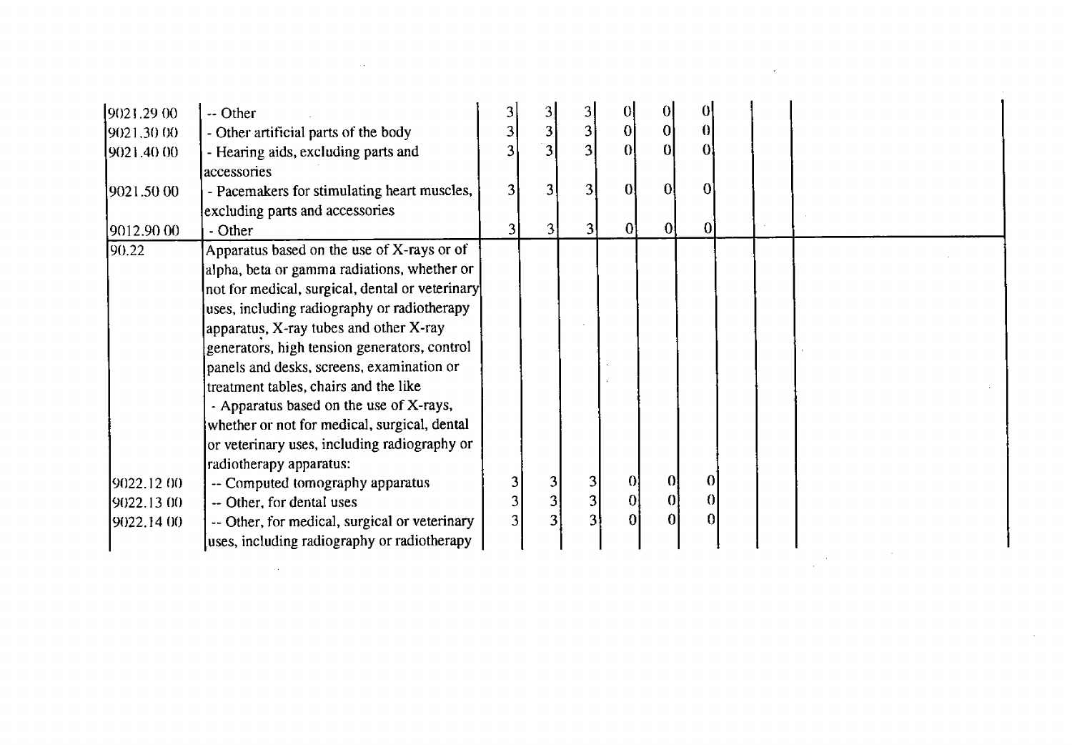| 9021.2900    | -- Other                                        |                |                                             |                                             | 01             |                | $\vert 0 \vert$ |  |  |
|--------------|-------------------------------------------------|----------------|---------------------------------------------|---------------------------------------------|----------------|----------------|-----------------|--|--|
| [9021.3000]  | - Other artificial parts of the body            |                |                                             |                                             | 0              | 0              | 0               |  |  |
| [9021.40.00] | - Hearing aids, excluding parts and             |                | $\begin{bmatrix} 3 \\ 3 \\ 3 \end{bmatrix}$ | $\begin{vmatrix} 3 \\ 3 \\ 3 \end{vmatrix}$ | $\Omega$       | ΩI             | $\Omega$        |  |  |
|              | accessories                                     |                |                                             |                                             |                |                |                 |  |  |
| 19021.50 00  | - Pacemakers for stimulating heart muscles,     | $\overline{3}$ | $\overline{3}$                              | $\overline{3}$                              | $\Omega$       | $\overline{0}$ | 0               |  |  |
|              | excluding parts and accessories                 |                |                                             |                                             |                |                |                 |  |  |
| 19012.90 00  | - Other                                         |                | 3                                           | $\overline{3}$                              | $\mathbf 0$    | 0              | $\overline{0}$  |  |  |
| 90.22        | Apparatus based on the use of X-rays or of      |                |                                             |                                             |                |                |                 |  |  |
|              | alpha, beta or gamma radiations, whether or     |                |                                             |                                             |                |                |                 |  |  |
|              | not for medical, surgical, dental or veterinary |                |                                             |                                             |                |                |                 |  |  |
|              | uses, including radiography or radiotherapy     |                |                                             |                                             |                |                |                 |  |  |
|              | apparatus, X-ray tubes and other X-ray          |                |                                             |                                             |                |                |                 |  |  |
|              | generators, high tension generators, control    |                |                                             |                                             |                |                |                 |  |  |
|              | panels and desks, screens, examination or       |                |                                             |                                             |                |                |                 |  |  |
|              | treatment tables, chairs and the like           |                |                                             |                                             |                |                |                 |  |  |
|              | - Apparatus based on the use of X-rays,         |                |                                             |                                             |                |                |                 |  |  |
|              | whether or not for medical, surgical, dental    |                |                                             |                                             |                |                |                 |  |  |
|              | or veterinary uses, including radiography or    |                |                                             |                                             |                |                |                 |  |  |
|              | radiotherapy apparatus:                         |                |                                             |                                             |                |                |                 |  |  |
| 9022.12.00   | -- Computed tomography apparatus                |                | $\overline{\mathbf{3}}$                     | $\overline{\mathbf{3}}$                     | 0              | 0              | 0               |  |  |
| 9022.13.00   | -- Other, for dental uses                       | $\overline{3}$ | $\overline{3}$                              | $\overline{\mathbf{3}}$                     | 0              | 0              | 0               |  |  |
| 9022.14 00   | -- Other, for medical, surgical or veterinary   | $\overline{3}$ |                                             | 3 <sup>1</sup>                              | $\overline{0}$ | 0              | $\overline{0}$  |  |  |
|              | uses, including radiography or radiotherapy     |                |                                             |                                             |                |                |                 |  |  |

 $\mathcal{L}(\mathcal{L}(\mathcal{L}))$  and  $\mathcal{L}(\mathcal{L}(\mathcal{L}))$  . The contribution of the set of  $\mathcal{L}(\mathcal{L})$ 

 $\mathcal{L}^{\text{max}}_{\text{max}}$ 

 $\label{eq:2.1} \mathcal{L}(\mathcal{L}(\mathcal{L})) = \mathcal{L}(\mathcal{L}(\mathcal{L})) = \mathcal{L}(\mathcal{L}(\mathcal{L})) = \mathcal{L}(\mathcal{L}(\mathcal{L})) = \mathcal{L}(\mathcal{L}(\mathcal{L})) = \mathcal{L}(\mathcal{L}(\mathcal{L})) = \mathcal{L}(\mathcal{L}(\mathcal{L})) = \mathcal{L}(\mathcal{L}(\mathcal{L})) = \mathcal{L}(\mathcal{L}(\mathcal{L})) = \mathcal{L}(\mathcal{L}(\mathcal{L})) = \mathcal{L}(\mathcal{L}(\mathcal{L})) = \math$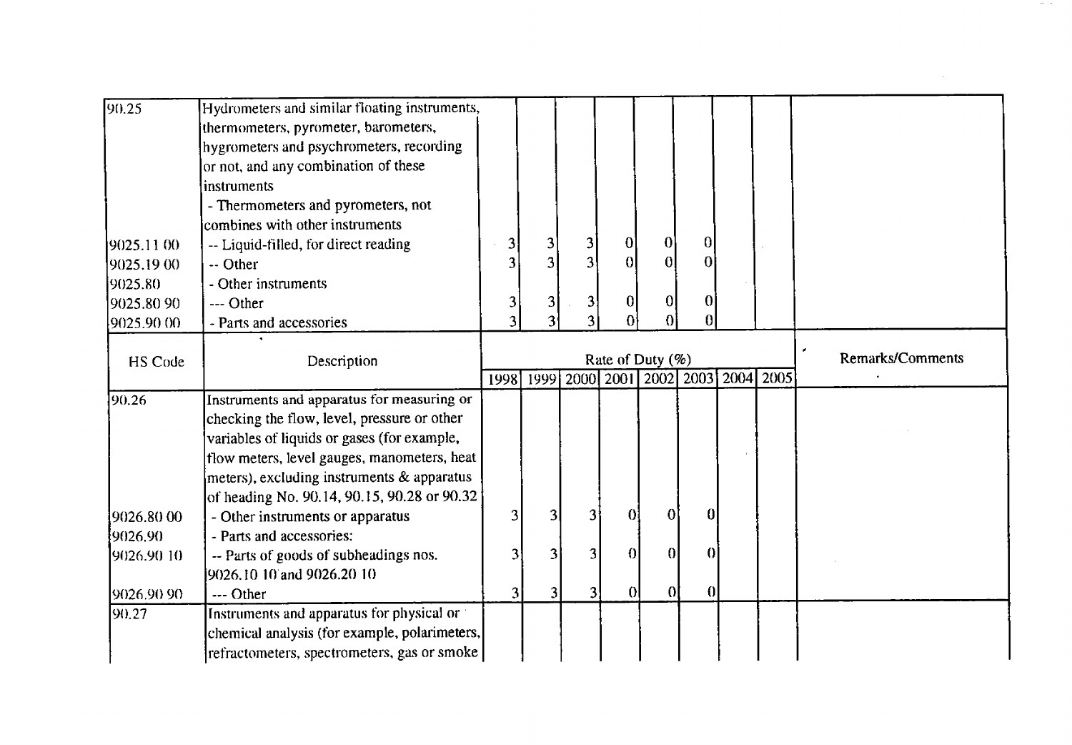| 90.25      | Hydrometers and similar floating instruments, |                |   |                |                  |                  |                |                                         |                  |
|------------|-----------------------------------------------|----------------|---|----------------|------------------|------------------|----------------|-----------------------------------------|------------------|
|            | thermometers, pyrometer, barometers,          |                |   |                |                  |                  |                |                                         |                  |
|            | hygrometers and psychrometers, recording      |                |   |                |                  |                  |                |                                         |                  |
|            | or not, and any combination of these          |                |   |                |                  |                  |                |                                         |                  |
|            | instruments                                   |                |   |                |                  |                  |                |                                         |                  |
|            | - Thermometers and pyrometers, not            |                |   |                |                  |                  |                |                                         |                  |
|            | combines with other instruments               |                |   |                |                  |                  |                |                                         |                  |
| 9025.11 00 | -- Liquid-filled, for direct reading          | 3              | 3 | 3              | 0                | $\theta$         | 0              |                                         |                  |
| 9025.19 00 | -- Other                                      | 3              | 3 |                | $\overline{0}$   | $\overline{0}$   | $\Omega$       |                                         |                  |
| 9025.80    | - Other instruments                           |                |   |                |                  |                  |                |                                         |                  |
| 9025.80 90 | --- Other                                     | 3 <sub>1</sub> | 3 | 3 <sup>1</sup> | $\boldsymbol{0}$ | $\boldsymbol{0}$ | 0              |                                         |                  |
| 9025.90.00 | - Parts and accessories                       | $\overline{3}$ | ٩ | $\overline{3}$ | -01              | Ωl               | $\overline{0}$ |                                         |                  |
|            |                                               |                |   |                |                  |                  |                |                                         |                  |
| HS Code    | Description                                   |                |   |                | Rate of Duty (%) |                  |                |                                         | Remarks/Comments |
|            |                                               |                |   |                |                  |                  |                | 1998 1999 2000 2001 2002 2003 2004 2005 |                  |
| 90.26      | Instruments and apparatus for measuring or    |                |   |                |                  |                  |                |                                         |                  |
|            | checking the flow, level, pressure or other   |                |   |                |                  |                  |                |                                         |                  |
|            | variables of liquids or gases (for example,   |                |   |                |                  |                  |                |                                         |                  |
|            | flow meters, level gauges, manometers, heat   |                |   |                |                  |                  |                |                                         |                  |
|            | meters), excluding instruments & apparatus    |                |   |                |                  |                  |                |                                         |                  |
|            | of heading No. 90.14, 90.15, 90.28 or 90.32   |                |   |                |                  |                  |                |                                         |                  |
| 9026.80 00 | - Other instruments or apparatus              | 3              | 3 | 3              | $\vert 0 \vert$  | 0                |                |                                         |                  |
| 9026.90    | - Parts and accessories:                      |                |   |                |                  |                  |                |                                         |                  |
| 9026.90 10 | -- Parts of goods of subheadings nos.         | 3              |   |                | $\theta$         | 0                |                |                                         |                  |
|            | 9026.10 10 and 9026.20 10                     |                |   |                |                  |                  |                |                                         |                  |
|            |                                               |                |   |                |                  |                  |                |                                         |                  |
| 9026.90.90 | --- Other                                     | 3              |   |                | 0                | 0                | $\theta$       |                                         |                  |
| 90.27      | Instruments and apparatus for physical or 1   |                |   |                |                  |                  |                |                                         |                  |
|            | chemical analysis (for example, polarimeters, |                |   |                |                  |                  |                |                                         |                  |

 $\sim 10^{11}$  M  $_\odot$  m  $^{-1}$ 

 $\mathcal{L}_{\text{max}}$  and  $\mathcal{L}_{\text{max}}$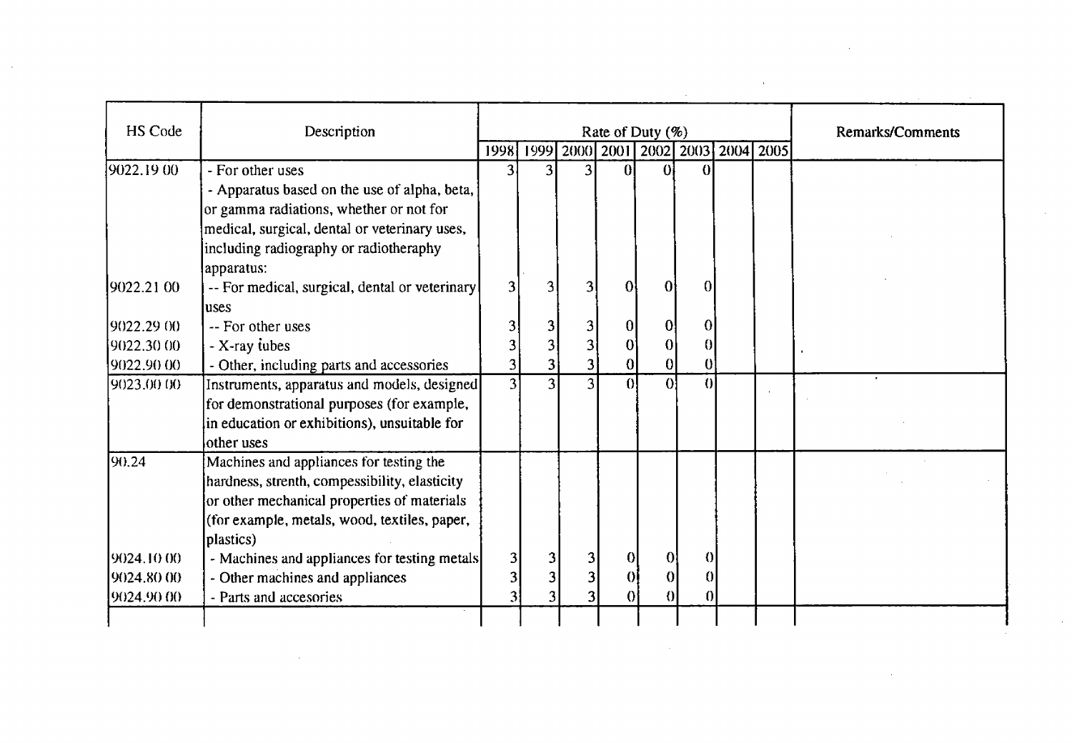| HS Code    | Description                                    |                         |                         |                | Rate of Duty (%) |                |                      |           |                                    | Remarks/Comments |
|------------|------------------------------------------------|-------------------------|-------------------------|----------------|------------------|----------------|----------------------|-----------|------------------------------------|------------------|
|            |                                                | 19981                   |                         |                |                  |                |                      |           | 1999 2000 2001 2002 2003 2004 2005 |                  |
| 9022.19 00 | - For other uses                               | 3                       | $\overline{3}$          | 3              | n۱               | $\Omega$       | $\Omega$             |           |                                    |                  |
|            | - Apparatus based on the use of alpha, beta,   |                         |                         |                |                  |                |                      |           |                                    |                  |
|            | or gamma radiations, whether or not for        |                         |                         |                |                  |                |                      |           |                                    |                  |
|            | medical, surgical, dental or veterinary uses,  |                         |                         |                |                  |                |                      |           |                                    |                  |
|            | including radiography or radiotheraphy         |                         |                         |                |                  |                |                      |           |                                    |                  |
|            | apparatus:                                     |                         |                         |                |                  |                |                      |           |                                    |                  |
| 9022.21 00 | -- For medical, surgical, dental or veterinary | 3                       | $\overline{3}$          | 3 <sup>l</sup> | 0                | 0              | 0                    |           |                                    |                  |
|            | luses                                          |                         |                         |                |                  |                |                      |           |                                    |                  |
| 9022.29 00 | -- For other uses                              | 3                       | $\overline{\mathbf{3}}$ | $\overline{3}$ | 0                | 0              | 0                    |           |                                    |                  |
| 9022.30.00 | - X-ray tubes                                  |                         | 3                       | $\overline{3}$ | $\overline{0}$   | $\overline{0}$ | $\vert 0 \vert$      |           |                                    |                  |
| 9022.90.00 | - Other, including parts and accessories       | 3 <sup>l</sup>          | $\overline{3}$          |                | $\overline{0}$   | 0              | $\bf{0}$             |           |                                    |                  |
| 9023.00.00 | Instruments, apparatus and models, designed    | $\overline{3}$          | 3                       |                | $\Omega$         |                | $\theta$<br>$\Omega$ |           |                                    |                  |
|            | for demonstrational purposes (for example,     |                         |                         |                |                  |                |                      |           |                                    |                  |
|            | in education or exhibitions), unsuitable for   |                         |                         |                |                  |                |                      |           |                                    |                  |
|            | other uses                                     |                         |                         |                |                  |                |                      |           |                                    |                  |
| 90.24      | Machines and appliances for testing the        |                         |                         |                |                  |                |                      |           |                                    |                  |
|            | hardness, strenth, compessibility, elasticity  |                         |                         |                |                  |                |                      |           |                                    |                  |
|            | or other mechanical properties of materials    |                         |                         |                |                  |                |                      |           |                                    |                  |
|            | (for example, metals, wood, textiles, paper,   |                         |                         |                |                  |                |                      |           |                                    |                  |
|            | plastics)                                      |                         |                         |                |                  |                |                      |           |                                    |                  |
| 9024.10.00 | - Machines and appliances for testing metals   | $\overline{\mathbf{3}}$ | $\overline{3}$          | $\mathbf{3}$   | $\overline{0}$   |                | 0                    | 0         |                                    |                  |
| 9024.80 00 | - Other machines and appliances                | 3                       | $\overline{3}$          | 3              | θi               |                | $\Omega$             | $\vert$ 0 |                                    |                  |
| 9024.90.00 | - Parts and accesories                         |                         | 3                       |                | Ωİ               |                |                      | 0         |                                    |                  |

 $\mathcal{L}(\mathcal{L}(\mathcal{L}))$  and  $\mathcal{L}(\mathcal{L}(\mathcal{L}))$  . The contribution of the contribution of the contribution of the contribution of the contribution of the contribution of the contribution of the contribution of the contribut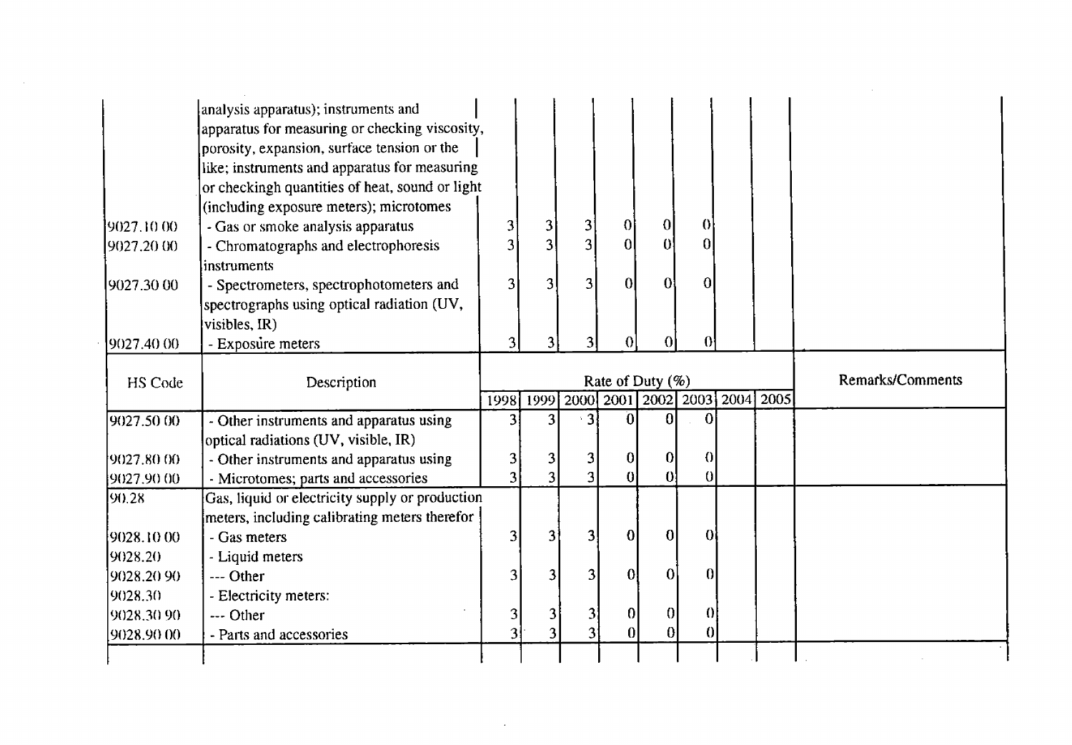| 9028.90.00            | - Parts and accessories                                                                      |                | 3                                                           | $\overline{3}$ | $\overline{0}$   | $\overline{0}$  | $\vert 0 \vert$ |  |  |                  |
|-----------------------|----------------------------------------------------------------------------------------------|----------------|-------------------------------------------------------------|----------------|------------------|-----------------|-----------------|--|--|------------------|
| 9028.30<br>9028.30.90 | - Electricity meters:<br>--- Other                                                           | 3              | 3                                                           | $\mathbf{3}$   | $\boldsymbol{0}$ | $\vert 0 \vert$ | $\vert$ $\vert$ |  |  |                  |
| 9028.20.90            | --- Other                                                                                    | 3              | 3                                                           | 3 <sub>1</sub> | $\overline{0}$   | 0               | $\vert$ 0       |  |  |                  |
| 9028.20               | - Liquid meters                                                                              |                |                                                             |                |                  |                 |                 |  |  |                  |
| !9028.10.00           | - Gas meters                                                                                 | 3              | $3^{\circ}$                                                 | $\overline{3}$ | $\overline{0}$   | 0               | $\Omega$        |  |  |                  |
|                       | meters, including calibrating meters therefor                                                |                |                                                             |                |                  |                 |                 |  |  |                  |
| 190.28                | Gas, liquid or electricity supply or production                                              |                |                                                             |                |                  |                 |                 |  |  |                  |
| 9027.90.00            | - Microtomes; parts and accessories                                                          | 3              | $\overline{3}$                                              | 3              | $\vert 0 \vert$  | ø               | $\theta$        |  |  |                  |
| 19027.80.00           | optical radiations (UV, visible, IR)<br>- Other instruments and apparatus using              | 3              | $\overline{3}$                                              | 3              | 0                | $\overline{0}$  | $\theta$        |  |  |                  |
| 9027.50.00            | - Other instruments and apparatus using                                                      |                |                                                             | 3              | ∩                | กเ              | <sup>0</sup>    |  |  |                  |
| HS Code               | Description                                                                                  |                | Rate of Duty (%)<br>1998 1999 2000 2001 2002 2003 2004 2005 |                |                  |                 |                 |  |  | Remarks/Comments |
| 9027.40.00            | - Exposure meters                                                                            | 3              | 3                                                           | 3              | 0                | $\overline{0}$  | $\Omega$        |  |  |                  |
|                       | spectrographs using optical radiation (UV,<br>visibles, IR)                                  |                |                                                             |                |                  |                 |                 |  |  |                  |
| 9027.3000             | linstruments<br>- Spectrometers, spectrophotometers and                                      | $\overline{3}$ | $\overline{3}$                                              | 3              | $\Omega$         | $\bf{0}$        | $\overline{0}$  |  |  |                  |
| 9027.20.00            | - Chromatographs and electrophoresis                                                         | $\overline{3}$ |                                                             | $\overline{3}$ | $\vert$ 0        | $\vert 0 \vert$ | $\overline{0}$  |  |  |                  |
| 9027.10.00            | (including exposure meters); microtomes<br>- Gas or smoke analysis apparatus                 | $\mathbf{3}$   | 3 <sup>1</sup><br>$\overline{3}$                            | $\mathbf{3}$   | 0                | $\bf{0}$        | $\theta$        |  |  |                  |
|                       | or checkingh quantities of heat, sound or light                                              |                |                                                             |                |                  |                 |                 |  |  |                  |
|                       | porosity, expansion, surface tension or the<br>like; instruments and apparatus for measuring |                |                                                             |                |                  |                 |                 |  |  |                  |
|                       | analysis apparatus); instruments and<br>apparatus for measuring or checking viscosity,       |                |                                                             |                |                  |                 |                 |  |  |                  |

 $\mathcal{L}^{\mathcal{L}}(\mathcal{L}^{\mathcal{L}})$  and  $\mathcal{L}^{\mathcal{L}}(\mathcal{L}^{\mathcal{L}})$  and  $\mathcal{L}^{\mathcal{L}}(\mathcal{L}^{\mathcal{L}})$ 

 $\label{eq:2.1} \frac{1}{\sqrt{2}}\sum_{i=1}^n\frac{1}{\sqrt{2}}\sum_{i=1}^n\frac{1}{\sqrt{2}}\sum_{i=1}^n\frac{1}{\sqrt{2}}\sum_{i=1}^n\frac{1}{\sqrt{2}}\sum_{i=1}^n\frac{1}{\sqrt{2}}\sum_{i=1}^n\frac{1}{\sqrt{2}}\sum_{i=1}^n\frac{1}{\sqrt{2}}\sum_{i=1}^n\frac{1}{\sqrt{2}}\sum_{i=1}^n\frac{1}{\sqrt{2}}\sum_{i=1}^n\frac{1}{\sqrt{2}}\sum_{i=1}^n\frac$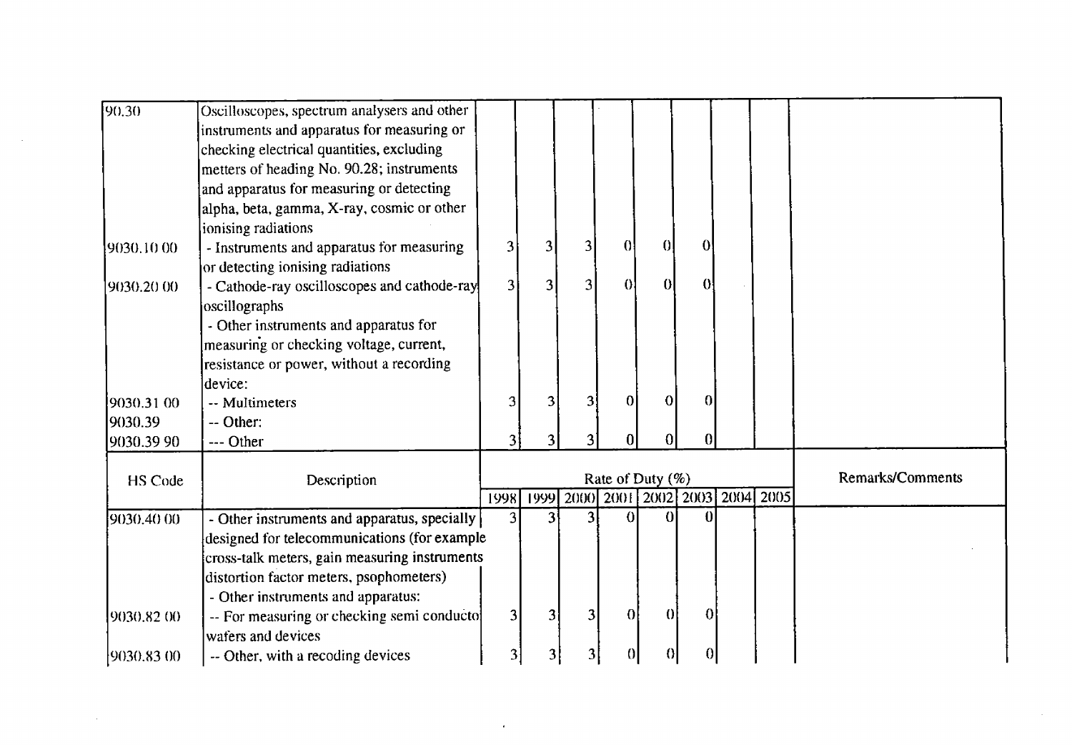| 90.30       | Oscilloscopes, spectrum analysers and other   |                         |                  |             |                          |                 |                  |  |      |                  |
|-------------|-----------------------------------------------|-------------------------|------------------|-------------|--------------------------|-----------------|------------------|--|------|------------------|
|             | instruments and apparatus for measuring or    |                         |                  |             |                          |                 |                  |  |      |                  |
|             | checking electrical quantities, excluding     |                         |                  |             |                          |                 |                  |  |      |                  |
|             | metters of heading No. 90.28; instruments     |                         |                  |             |                          |                 |                  |  |      |                  |
|             | and apparatus for measuring or detecting      |                         |                  |             |                          |                 |                  |  |      |                  |
|             | alpha, beta, gamma, X-ray, cosmic or other    |                         |                  |             |                          |                 |                  |  |      |                  |
|             | ionising radiations                           |                         |                  |             |                          |                 |                  |  |      |                  |
| 19030.10.00 | - Instruments and apparatus for measuring     | 3                       | 3                |             |                          |                 | $\Omega$         |  |      |                  |
|             | or detecting ionising radiations              |                         |                  |             |                          |                 |                  |  |      |                  |
| 9030.20.00  | - Cathode-ray oscilloscopes and cathode-ray   | $\overline{\mathbf{3}}$ | 3                | 3           | $\theta$                 | $\bf{0}$        | 0                |  |      |                  |
|             | oscillographs                                 |                         |                  |             |                          |                 |                  |  |      |                  |
|             | - Other instruments and apparatus for         |                         |                  |             |                          |                 |                  |  |      |                  |
|             | measuring or checking voltage, current,       |                         |                  |             |                          |                 |                  |  |      |                  |
|             | resistance or power, without a recording      |                         |                  |             |                          |                 |                  |  |      |                  |
|             | device:                                       |                         |                  |             |                          |                 |                  |  |      |                  |
| 9030.31 00  | -- Multimeters                                | 3                       |                  | 3           | 0                        | 0               | $\theta$         |  |      |                  |
| 9030.39     | -- Other:                                     |                         |                  |             |                          |                 |                  |  |      |                  |
| 9030.39 90  | --- Other                                     |                         |                  | $3^{\circ}$ |                          | 0               | $\boldsymbol{0}$ |  |      |                  |
| HS Code     | Description                                   |                         | Rate of Duty (%) |             |                          |                 |                  |  |      | Remarks/Comments |
|             |                                               | 1998                    | 1999             |             | 2000 2001 2002 2003 2004 |                 |                  |  | 2005 |                  |
| 9030.40 00  | - Other instruments and apparatus, specially  |                         |                  |             |                          | 0               |                  |  |      |                  |
|             | designed for telecommunications (for example  |                         |                  |             |                          |                 |                  |  |      |                  |
|             | cross-talk meters, gain measuring instruments |                         |                  |             |                          |                 |                  |  |      |                  |
|             | distortion factor meters, psophometers)       |                         |                  |             |                          |                 |                  |  |      |                  |
|             | - Other instruments and apparatus:            |                         |                  |             |                          |                 |                  |  |      |                  |
| 9030.82 00  | -- For measuring or checking semi conducto    | 3                       | 3                | 3           | $\Omega$                 | $\vert 0 \vert$ | $\bf{0}$         |  |      |                  |
|             | wafers and devices                            |                         |                  |             |                          |                 |                  |  |      |                  |
|             |                                               |                         |                  |             |                          |                 |                  |  |      |                  |

 $\sim 10^{-1}$ 

 $\sim$